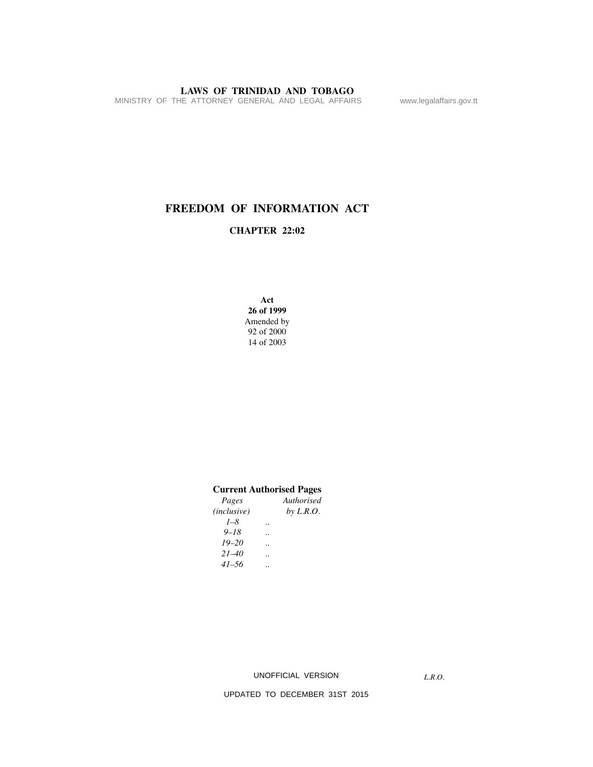MINISTRY OF THE ATTORNEY GENERAL AND LEGAL AFFAIRS www.legalaffairs.gov.tt

## **FREEDOM OF INFORMATION ACT**

#### **CHAPTER 22:02**

**Act 26 of 1999** Amended by 92 of 2000 14 of 2003

#### **Current Authorised Pages**

| Pages       | Authorised  |
|-------------|-------------|
| (inclusive) | by $L.R.O.$ |
| $1 - 8$     |             |
| $9 - 18$    |             |
| $19 - 20$   |             |
| $21 - 40$   |             |
| $41 - 56$   |             |
|             |             |

UNOFFICIAL VERSION

*L.R.O.*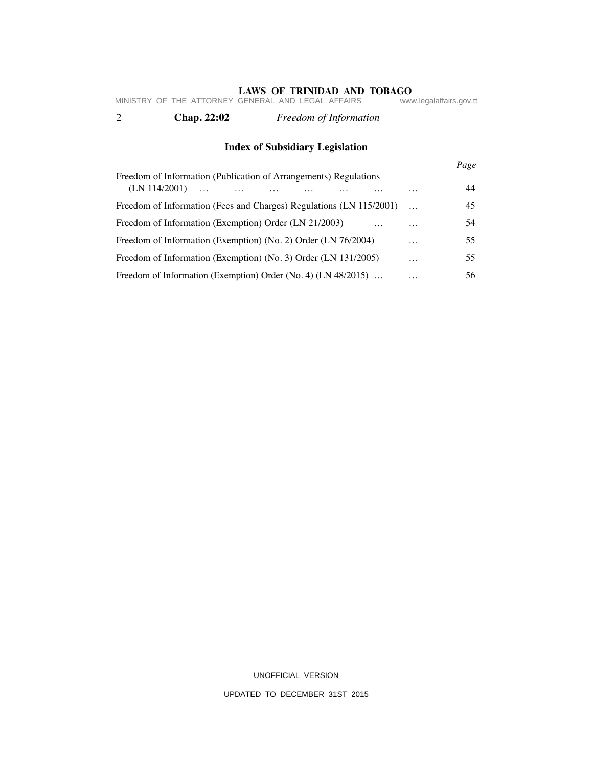|  | <b>Chap. 22:02</b>                                 |  | Freedom of Information |                         |
|--|----------------------------------------------------|--|------------------------|-------------------------|
|  | MINISTRY OF THE ATTORNEY GENERAL AND LEGAL AFFAIRS |  |                        | www.legalaffairs.gov.tt |

## **Index of Subsidiary Legislation**

| Freedom of Information (Publication of Arrangements) Regulations    |           | Page |
|---------------------------------------------------------------------|-----------|------|
| (LN 114/2001)<br>$\dddotsc$                                         | .         | 44   |
| Freedom of Information (Fees and Charges) Regulations (LN 115/2001) |           | 45   |
| Freedom of Information (Exemption) Order (LN 21/2003)               | .         | 54   |
| Freedom of Information (Exemption) (No. 2) Order (LN 76/2004)       | $\ddotsc$ | 55   |
| Freedom of Information (Exemption) (No. 3) Order (LN 131/2005)      | $\ddotsc$ | 55   |
| Freedom of Information (Exemption) Order (No. 4) (LN 48/2015)       | .         | 56   |

UNOFFICIAL VERSION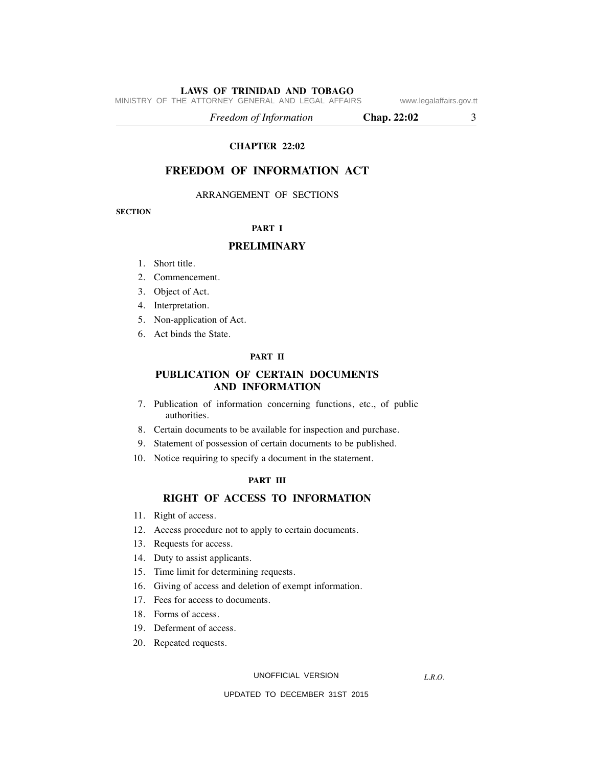MINISTRY OF THE ATTORNEY GENERAL AND LEGAL AFFAIRS www.legalaffairs.gov.tt

 *Freedom of Information* **Chap. 22:02** 3

#### **CHAPTER 22:02**

## **FREEDOM OF INFORMATION ACT**

ARRANGEMENT OF SECTIONS

**SECTION**

#### **PART I**

#### **PRELIMINARY**

- 1. Short title.
- 2. Commencement.
- 3. Object of Act.
- 4. Interpretation.
- 5. Non-application of Act.
- 6. Act binds the State.

#### **PART II**

### **PUBLICATION OF CERTAIN DOCUMENTS AND INFORMATION**

- 7. Publication of information concerning functions, etc., of public authorities.
- 8. Certain documents to be available for inspection and purchase.
- 9. Statement of possession of certain documents to be published.
- 10. Notice requiring to specify a document in the statement.

#### **PART III**

#### **RIGHT OF ACCESS TO INFORMATION**

- 11. Right of access.
- 12. Access procedure not to apply to certain documents.
- 13. Requests for access.
- 14. Duty to assist applicants.
- 15. Time limit for determining requests.
- 16. Giving of access and deletion of exempt information.
- 17. Fees for access to documents.
- 18. Forms of access.
- 19. Deferment of access.
- 20. Repeated requests.

UNOFFICIAL VERSION

*L.R.O.*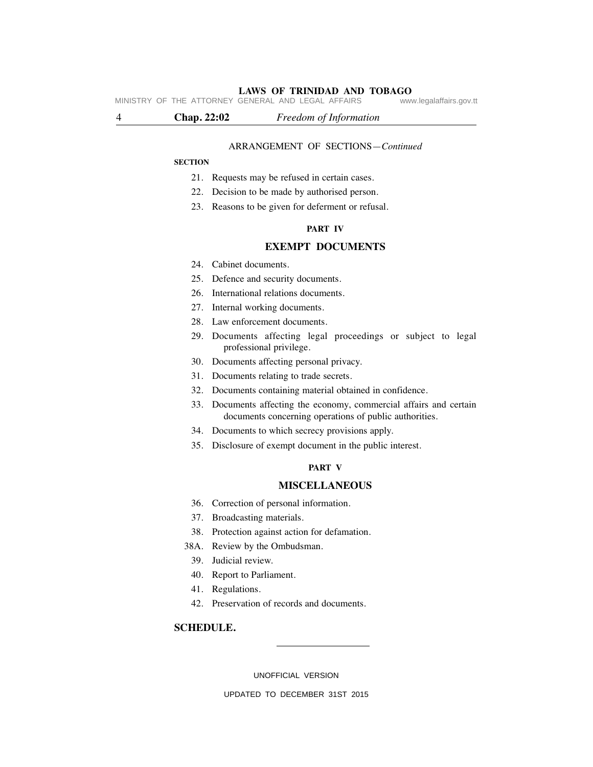MINISTRY OF THE ATTORNEY GENERAL AND LEGAL AFFAIRS

4 **Chap. 22:02** *Freedom of Information*

#### ARRANGEMENT OF SECTIONS—*Continued*

#### **SECTION**

- 21. Requests may be refused in certain cases.
- 22. Decision to be made by authorised person.
- 23. Reasons to be given for deferment or refusal.

#### **PART IV**

#### **EXEMPT DOCUMENTS**

- 24. Cabinet documents.
- 25. Defence and security documents.
- 26. International relations documents.
- 27. Internal working documents.
- 28. Law enforcement documents.
- 29. Documents affecting legal proceedings or subject to legal professional privilege.
- 30. Documents affecting personal privacy.
- 31. Documents relating to trade secrets.
- 32. Documents containing material obtained in confidence.
- 33. Documents affecting the economy, commercial affairs and certain documents concerning operations of public authorities.
- 34. Documents to which secrecy provisions apply.
- 35. Disclosure of exempt document in the public interest.

#### **PART V**

#### **MISCELLANEOUS**

- 36. Correction of personal information.
- 37. Broadcasting materials.
- 38. Protection against action for defamation.
- 38A. Review by the Ombudsman.
	- 39. Judicial review.
	- 40. Report to Parliament.
	- 41. Regulations.
	- 42. Preservation of records and documents.

#### **SCHEDULE.**

UNOFFICIAL VERSION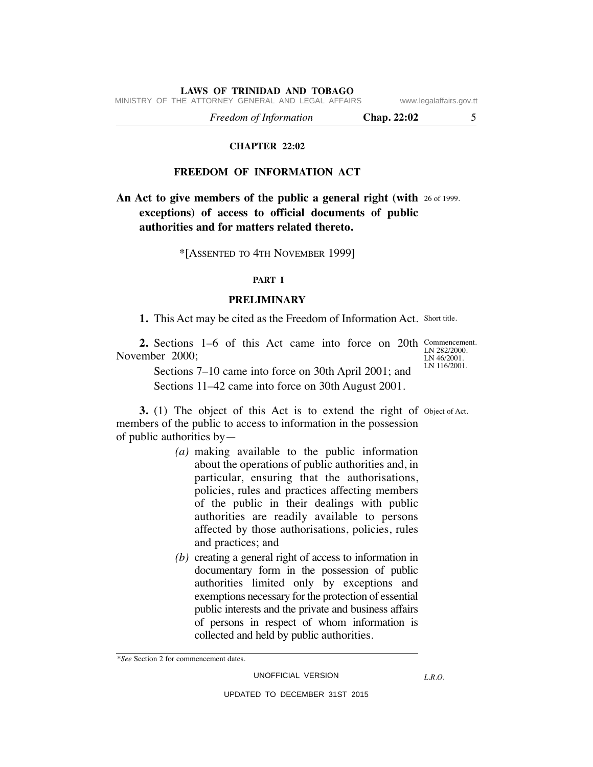MINISTRY OF THE ATTORNEY GENERAL AND LEGAL AFFAIRS www.legalaffairs.gov.tt

 *Freedom of Information* **Chap. 22:02** 5

#### **CHAPTER 22:02**

#### **FREEDOM OF INFORMATION ACT**

**An Act to give members of the public a general right (with 26 of 1999. exceptions) of access to official documents of public authorities and for matters related thereto.**

#### \*[ASSENTED TO 4TH NOVEMBER 1999]

#### **PART I**

#### **PRELIMINARY**

1. This Act may be cited as the Freedom of Information Act. Short title.

**2.** Sections 1–6 of this Act came into force on 20th Commencement. November 2000;

LN 282/2000. LN 46/2001. LN 116/2001.

 Sections 7–10 came into force on 30th April 2001; and Sections 11–42 came into force on 30th August 2001.

**3.** (1) The object of this Act is to extend the right of Object of Act. members of the public to access to information in the possession of public authorities by—

- *(a)* making available to the public information about the operations of public authorities and, in particular, ensuring that the authorisations, policies, rules and practices affecting members of the public in their dealings with public authorities are readily available to persons affected by those authorisations, policies, rules and practices; and
- *(b)* creating a general right of access to information in documentary form in the possession of public authorities limited only by exceptions and exemptions necessary for the protection of essential public interests and the private and business affairs of persons in respect of whom information is collected and held by public authorities.

<sup>\*</sup>*See* Section 2 for commencement dates.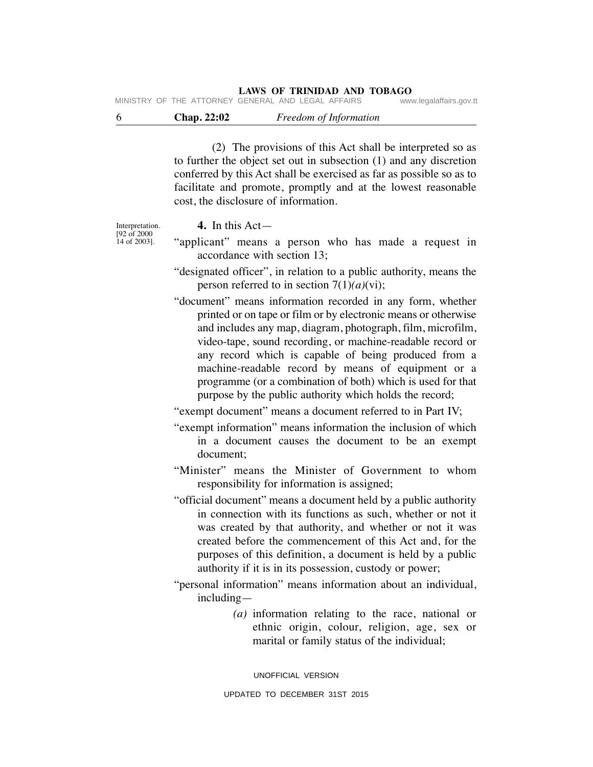MINISTRY OF THE ATTORNEY GENERAL AND LEGAL AFFAIRS

| <b>Chap. 22:02</b> | Freedom of Information |
|--------------------|------------------------|
|                    |                        |

 (2) The provisions of this Act shall be interpreted so as to further the object set out in subsection (1) and any discretion conferred by this Act shall be exercised as far as possible so as to facilitate and promote, promptly and at the lowest reasonable cost, the disclosure of information.

## **4.** In this Act—

Interpretation. [92 of 2000 14 of 2003].

- "applicant" means a person who has made a request in accordance with section 13;
- "designated officer", in relation to a public authority, means the person referred to in section 7(1)*(a)*(vi);
- "document" means information recorded in any form, whether printed or on tape or film or by electronic means or otherwise and includes any map, diagram, photograph, film, microfilm, video-tape, sound recording, or machine-readable record or any record which is capable of being produced from a machine-readable record by means of equipment or a programme (or a combination of both) which is used for that purpose by the public authority which holds the record;

"exempt document" means a document referred to in Part IV;

"exempt information" means information the inclusion of which in a document causes the document to be an exempt document;

"Minister" means the Minister of Government to whom responsibility for information is assigned;

- "official document" means a document held by a public authority in connection with its functions as such, whether or not it was created by that authority, and whether or not it was created before the commencement of this Act and, for the purposes of this definition, a document is held by a public authority if it is in its possession, custody or power;
- "personal information" means information about an individual, including—
	- *(a)* information relating to the race, national or ethnic origin, colour, religion, age, sex or marital or family status of the individual;

UNOFFICIAL VERSION UPDATED TO DECEMBER 31ST 2015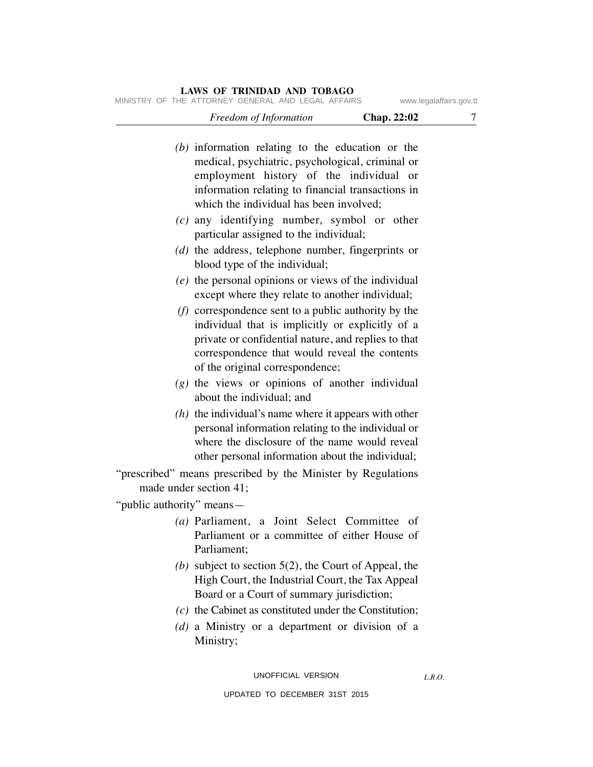| $F_{\text{max}}$ of $F_{\text{max}}$ of $F_{\text{max}}$ | $C_{max}$ 00.00         |
|----------------------------------------------------------|-------------------------|
| MINISTRY OF THE ATTORNEY GENERAL AND LEGAL AFFAIRS       | www.legalaffairs.gov.tt |

| 7 | Chap. 22:02 | Freedom of Information                                                                                                                                                                                                                                |                           |
|---|-------------|-------------------------------------------------------------------------------------------------------------------------------------------------------------------------------------------------------------------------------------------------------|---------------------------|
|   |             | $(b)$ information relating to the education or the<br>medical, psychiatric, psychological, criminal or<br>employment history of the individual or<br>information relating to financial transactions in<br>which the individual has been involved;     |                           |
|   |             | $(c)$ any identifying number, symbol or other<br>particular assigned to the individual;                                                                                                                                                               |                           |
|   |             | $(d)$ the address, telephone number, fingerprints or<br>blood type of the individual;                                                                                                                                                                 |                           |
|   |             | $(e)$ the personal opinions or views of the individual<br>except where they relate to another individual;                                                                                                                                             |                           |
|   |             | $(f)$ correspondence sent to a public authority by the<br>individual that is implicitly or explicitly of a<br>private or confidential nature, and replies to that<br>correspondence that would reveal the contents<br>of the original correspondence; |                           |
|   |             | $(g)$ the views or opinions of another individual<br>about the individual; and                                                                                                                                                                        |                           |
|   |             | $(h)$ the individual's name where it appears with other<br>personal information relating to the individual or<br>where the disclosure of the name would reveal<br>other personal information about the individual;                                    |                           |
|   |             | "prescribed" means prescribed by the Minister by Regulations<br>made under section 41;                                                                                                                                                                |                           |
|   |             |                                                                                                                                                                                                                                                       | "public authority" means— |
|   | of          | (a) Parliament, a Joint Select Committee<br>Parliament or a committee of either House of<br>Parliament;                                                                                                                                               |                           |
|   |             | (b) subject to section $5(2)$ , the Court of Appeal, the<br>High Court, the Industrial Court, the Tax Appeal<br>Board or a Court of summary jurisdiction;                                                                                             |                           |
|   |             | $(c)$ the Cabinet as constituted under the Constitution;<br>$(d)$ a Ministry or a department or division of a<br>Ministry;                                                                                                                            |                           |
|   |             |                                                                                                                                                                                                                                                       |                           |

UNOFFICIAL VERSION

*L.R.O.*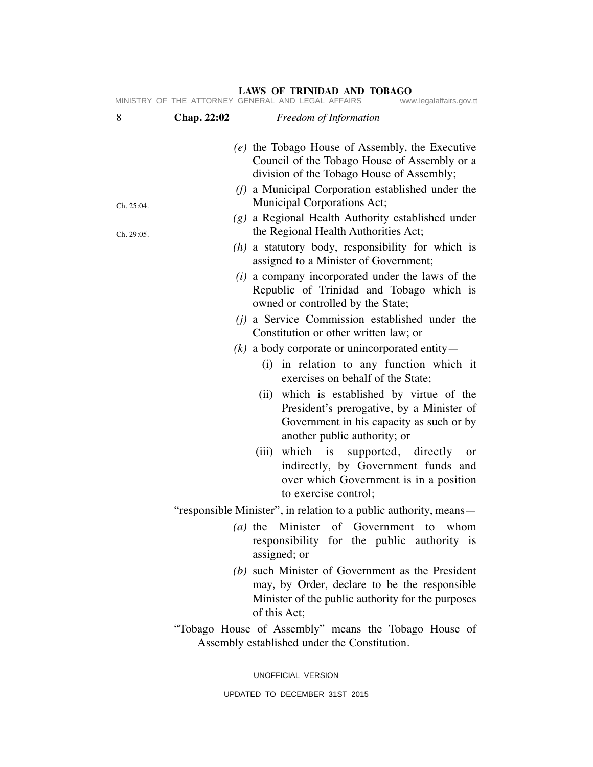| 8          | <b>Chap. 22:02</b> | Freedom of Information                                                                                                                                                 |
|------------|--------------------|------------------------------------------------------------------------------------------------------------------------------------------------------------------------|
|            |                    | (e) the Tobago House of Assembly, the Executive<br>Council of the Tobago House of Assembly or a                                                                        |
|            |                    | division of the Tobago House of Assembly;<br>$(f)$ a Municipal Corporation established under the                                                                       |
| Ch. 25:04. |                    | Municipal Corporations Act;<br>$(g)$ a Regional Health Authority established under                                                                                     |
| Ch. 29:05. |                    | the Regional Health Authorities Act;                                                                                                                                   |
|            |                    | $(h)$ a statutory body, responsibility for which is<br>assigned to a Minister of Government;                                                                           |
|            |                    | $(i)$ a company incorporated under the laws of the<br>Republic of Trinidad and Tobago which is<br>owned or controlled by the State;                                    |
|            |                    | ( <i>j</i> ) a Service Commission established under the<br>Constitution or other written law; or                                                                       |
|            |                    | $(k)$ a body corporate or unincorporated entity —                                                                                                                      |
|            |                    | (i) in relation to any function which it<br>exercises on behalf of the State;                                                                                          |
|            |                    | which is established by virtue of the<br>(ii)<br>President's prerogative, by a Minister of<br>Government in his capacity as such or by<br>another public authority; or |
|            |                    | which is supported, directly<br>(iii)<br>or<br>indirectly, by Government funds and<br>over which Government is in a position<br>to exercise control;                   |
|            |                    | "responsible Minister", in relation to a public authority, means—                                                                                                      |
|            |                    | (a) the Minister of Government to<br>whom<br>responsibility for the public authority is<br>assigned; or                                                                |
|            |                    | (b) such Minister of Government as the President<br>may, by Order, declare to be the responsible<br>Minister of the public authority for the purposes<br>of this Act;  |
|            |                    | "Tobago House of Assembly" means the Tobago House of<br>Assembly established under the Constitution.                                                                   |
|            |                    | UNOFFICIAL VERSION                                                                                                                                                     |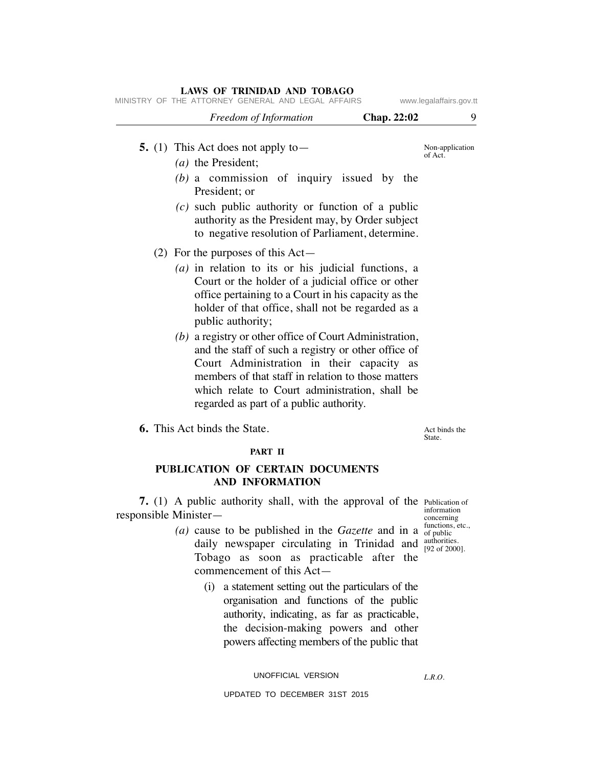| LAWS OF TRINIDAD AND TOBAGO<br>MINISTRY OF THE ATTORNEY GENERAL AND LEGAL AFFAIRS<br>www.legalaffairs.gov.tt                                                                                                                                                                                                                                                                                                                                                                                                                                                                                           |                            |  |  |  |
|--------------------------------------------------------------------------------------------------------------------------------------------------------------------------------------------------------------------------------------------------------------------------------------------------------------------------------------------------------------------------------------------------------------------------------------------------------------------------------------------------------------------------------------------------------------------------------------------------------|----------------------------|--|--|--|
| Freedom of Information<br>Chap. 22:02                                                                                                                                                                                                                                                                                                                                                                                                                                                                                                                                                                  | 9                          |  |  |  |
| 5. (1) This Act does not apply to $-$<br>$(a)$ the President;<br>$(b)$ a commission of inquiry issued by the<br>President; or<br>$(c)$ such public authority or function of a public<br>authority as the President may, by Order subject<br>to negative resolution of Parliament, determine.                                                                                                                                                                                                                                                                                                           | Non-application<br>of Act. |  |  |  |
| $(2)$ For the purposes of this Act—<br>$(a)$ in relation to its or his judicial functions, a<br>Court or the holder of a judicial office or other<br>office pertaining to a Court in his capacity as the<br>holder of that office, shall not be regarded as a<br>public authority;<br>$(b)$ a registry or other office of Court Administration,<br>and the staff of such a registry or other office of<br>Court Administration in their capacity as<br>members of that staff in relation to those matters<br>which relate to Court administration, shall be<br>regarded as part of a public authority. |                            |  |  |  |
| <b>6.</b> This Act binds the State.                                                                                                                                                                                                                                                                                                                                                                                                                                                                                                                                                                    | Act binds the<br>State.    |  |  |  |
| PART II<br>PUBLICATION OF CERTAIN DOCUMENTS<br><b>AND INFORMATION</b>                                                                                                                                                                                                                                                                                                                                                                                                                                                                                                                                  |                            |  |  |  |
| 7. (1) A public authority shall, with the approval of the Publication of<br>responsible Minister-                                                                                                                                                                                                                                                                                                                                                                                                                                                                                                      | information<br>concerning  |  |  |  |

## *(a)* cause to be published in the *Gazette* and in a daily newspaper circulating in Trinidad and Tobago as soon as practicable after the commencement of this Act—

 (i) a statement setting out the particulars of the organisation and functions of the public authority, indicating, as far as practicable, the decision-making powers and other powers affecting members of the public that

UNOFFICIAL VERSION

UPDATED TO DECEMBER 31ST 2015

concerning functions, etc., of public authorities. [92 of 2000].

*L.R.O.*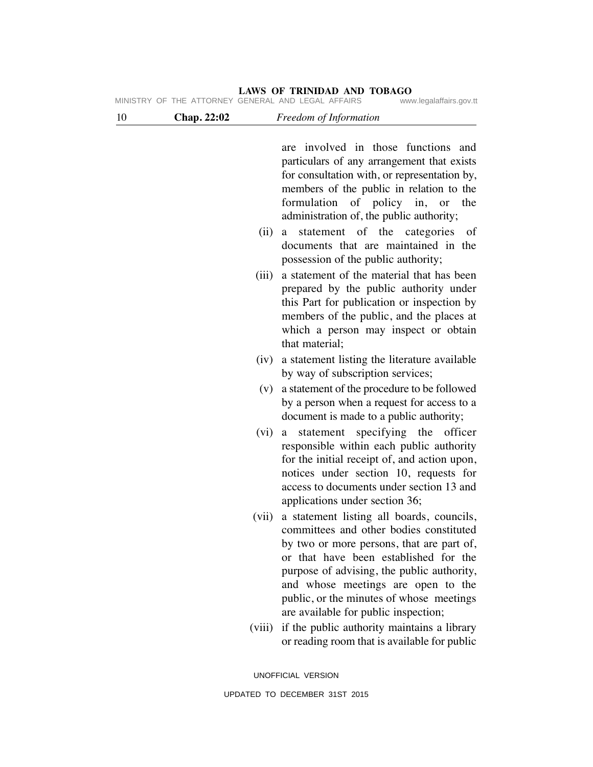|  | MINISTRY OF THE ATTORNEY GENERAL AND LEGAL AFFAIRS | www.legalaffairs.gov.tt |
|--|----------------------------------------------------|-------------------------|
|--|----------------------------------------------------|-------------------------|

| 10 | Chap. 22:02 | Freedom of Information                                                                                                                                                                                                                                                                                                                                                               |             |
|----|-------------|--------------------------------------------------------------------------------------------------------------------------------------------------------------------------------------------------------------------------------------------------------------------------------------------------------------------------------------------------------------------------------------|-------------|
|    |             | are involved in those functions and<br>particulars of any arrangement that exists<br>for consultation with, or representation by,<br>members of the public in relation to the<br>formulation of policy in, or<br>administration of, the public authority;<br>statement of the categories<br>(ii)<br>a<br>documents that are maintained in the<br>possession of the public authority; | the<br>- of |
|    |             | a statement of the material that has been<br>(iii)<br>prepared by the public authority under<br>this Part for publication or inspection by<br>members of the public, and the places at<br>which a person may inspect or obtain<br>that material;                                                                                                                                     |             |
|    |             | a statement listing the literature available<br>(iv)<br>by way of subscription services;                                                                                                                                                                                                                                                                                             |             |
|    |             | a statement of the procedure to be followed<br>(v)<br>by a person when a request for access to a<br>document is made to a public authority;                                                                                                                                                                                                                                          |             |
|    |             | (vi)<br>statement specifying the<br>a<br>responsible within each public authority<br>for the initial receipt of, and action upon,<br>notices under section 10, requests for<br>access to documents under section 13 and<br>applications under section 36;                                                                                                                            | officer     |
|    |             | a statement listing all boards, councils,<br>(vii)<br>committees and other bodies constituted<br>by two or more persons, that are part of,<br>or that have been established for the<br>purpose of advising, the public authority,<br>and whose meetings are open to the<br>public, or the minutes of whose meetings<br>are available for public inspection;                          |             |
|    |             | if the public authority maintains a library<br>(viii)<br>or reading room that is available for public                                                                                                                                                                                                                                                                                |             |
|    |             | UNOFFICIAL VERSION                                                                                                                                                                                                                                                                                                                                                                   |             |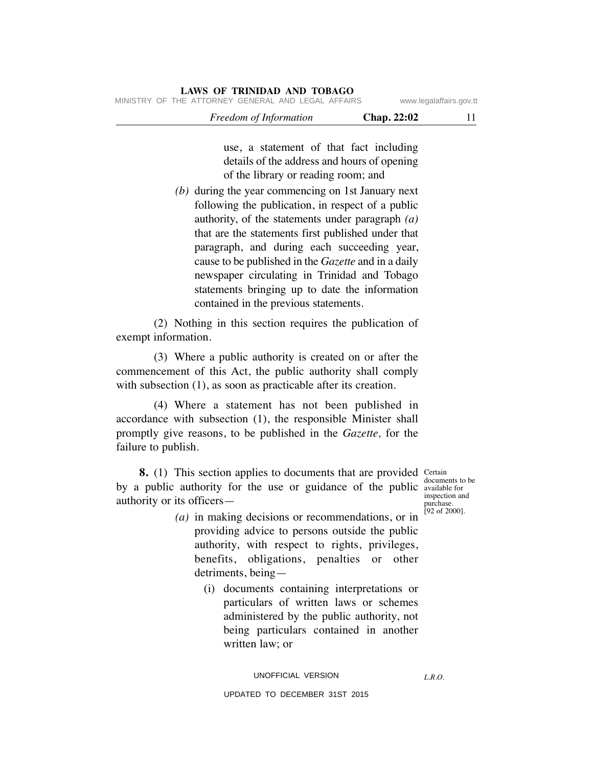## *Freedom of Information* **Chap. 22:02** 11 MINISTRY OF THE ATTORNEY GENERAL AND LEGAL AFFAIRS www.legalaffairs.gov.tt

use, a statement of that fact including details of the address and hours of opening of the library or reading room; and

 *(b)* during the year commencing on 1st January next following the publication, in respect of a public authority, of the statements under paragraph *(a)* that are the statements first published under that paragraph, and during each succeeding year, cause to be published in the *Gazette* and in a daily newspaper circulating in Trinidad and Tobago statements bringing up to date the information contained in the previous statements.

 (2) Nothing in this section requires the publication of exempt information.

 (3) Where a public authority is created on or after the commencement of this Act, the public authority shall comply with subsection (1), as soon as practicable after its creation.

 (4) Where a statement has not been published in accordance with subsection (1), the responsible Minister shall promptly give reasons, to be published in the *Gazette,* for the failure to publish.

**8.** (1) This section applies to documents that are provided Certain by a public authority for the use or guidance of the public available for authority or its officers—

documents to be inspection and purchase. [92 of 2000].

*L.R.O.* 

- *(a)* in making decisions or recommendations, or in providing advice to persons outside the public authority, with respect to rights, privileges, benefits, obligations, penalties or other detriments, being—
	- (i) documents containing interpretations or particulars of written laws or schemes administered by the public authority, not being particulars contained in another written law; or

#### UNOFFICIAL VERSION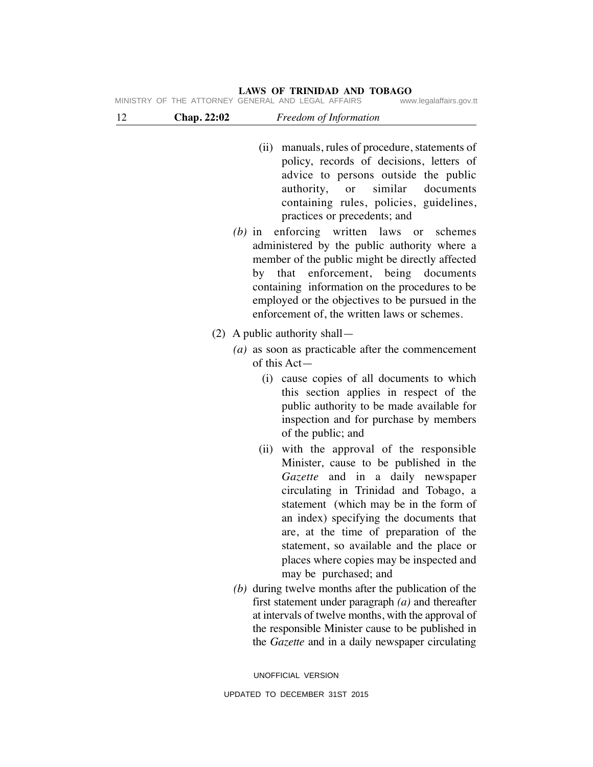# (ii) manuals, rules of procedure, statements of policy, records of decisions, letters of advice to persons outside the public authority, or similar documents containing rules, policies, guidelines, practices or precedents; and  *(b)* in enforcing written laws or schemes administered by the public authority where a member of the public might be directly affected by that enforcement, being documents containing information on the procedures to be employed or the objectives to be pursued in the enforcement of, the written laws or schemes. (2) A public authority shall—  *(a)* as soon as practicable after the commencement of this Act— (i) cause copies of all documents to which this section applies in respect of the public authority to be made available for inspection and for purchase by members of the public; and (ii) with the approval of the responsible Minister, cause to be published in the *Gazette* and in a daily newspaper circulating in Trinidad and Tobago, a statement (which may be in the form of an index) specifying the documents that are, at the time of preparation of the statement, so available and the place or places where copies may be inspected and may be purchased; and  *(b)* during twelve months after the publication of the first statement under paragraph *(a)* and thereafter at intervals of twelve months, with the approval of the responsible Minister cause to be published in the *Gazette* and in a daily newspaper circulating **LAWS OF TRINIDAD AND TOBAGO** 12 **Chap. 22:02** *Freedom of Information* MINISTRY OF THE ATTORNEY GENERAL AND LEGAL AFFAIRS

UNOFFICIAL VERSION UPDATED TO DECEMBER 31ST 2015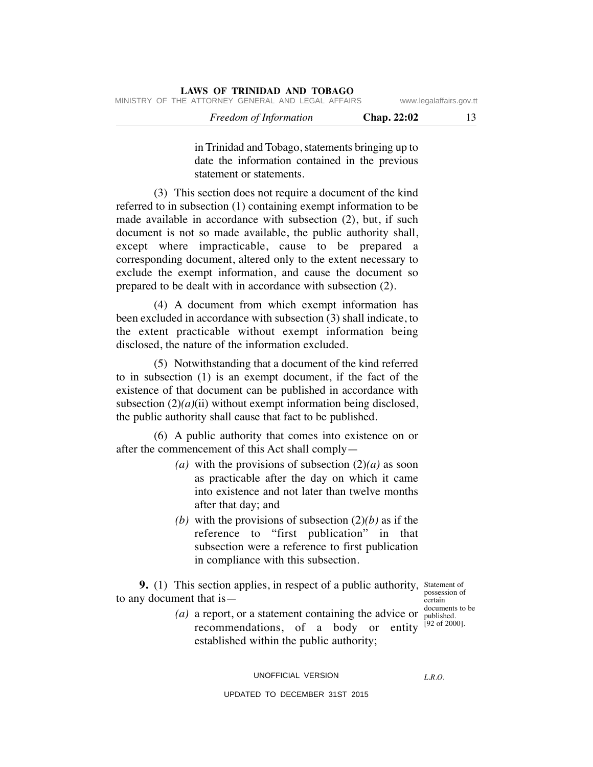in Trinidad and Tobago, statements bringing up to date the information contained in the previous statement or statements.

 (3) This section does not require a document of the kind referred to in subsection (1) containing exempt information to be made available in accordance with subsection (2), but, if such document is not so made available, the public authority shall, except where impracticable, cause to be prepared a corresponding document, altered only to the extent necessary to exclude the exempt information, and cause the document so prepared to be dealt with in accordance with subsection (2).

 (4) A document from which exempt information has been excluded in accordance with subsection (3) shall indicate, to the extent practicable without exempt information being disclosed, the nature of the information excluded.

 (5) Notwithstanding that a document of the kind referred to in subsection (1) is an exempt document, if the fact of the existence of that document can be published in accordance with subsection  $(2)(a)(ii)$  without exempt information being disclosed, the public authority shall cause that fact to be published.

 (6) A public authority that comes into existence on or after the commencement of this Act shall comply—

- (a) with the provisions of subsection  $(2)(a)$  as soon as practicable after the day on which it came into existence and not later than twelve months after that day; and
- *(b)* with the provisions of subsection  $(2)(b)$  as if the reference to "first publication" in that subsection were a reference to first publication in compliance with this subsection.

**9.** (1) This section applies, in respect of a public authority, Statement of to any document that is—

possession of certain documents to be

 $(a)$  a report, or a statement containing the advice or  $\frac{1}{2}$  published. recommendations, of a body or entity  $[92 \text{ of } 2000]$ . established within the public authority;

UNOFFICIAL VERSION

*L.R.O.*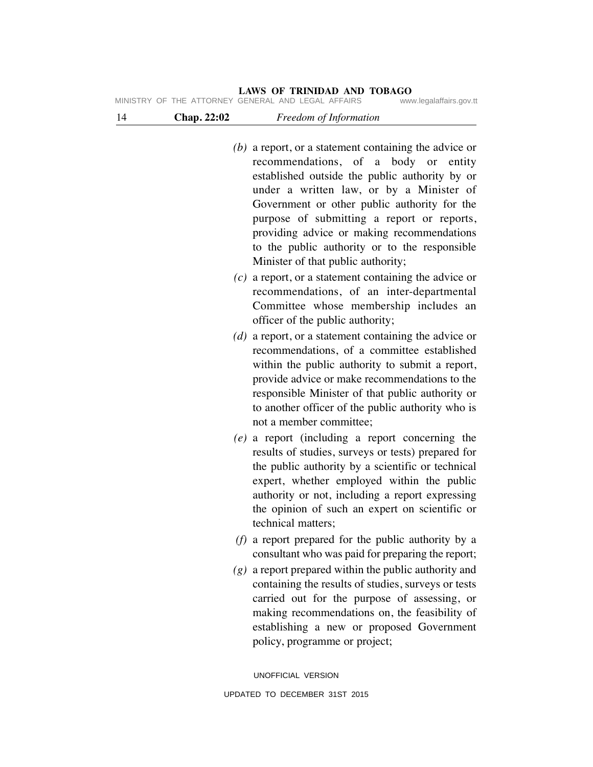| <b>Chap.</b> 22:02 | <i>Freedom of Information</i>                      |                         |
|--------------------|----------------------------------------------------|-------------------------|
|                    | MINISTRY OF THE ATTORNEY GENERAL AND LEGAL AFFAIRS | www.legalaffairs.gov.tt |

| $(b)$ a report, or a statement containing the advice or |
|---------------------------------------------------------|
| recommendations, of a body or entity                    |
| established outside the public authority by or          |
| under a written law, or by a Minister of                |
| Government or other public authority for the            |
| purpose of submitting a report or reports,              |
| providing advice or making recommendations              |
| to the public authority or to the responsible           |
| Minister of that public authority;                      |
|                                                         |

- *(c)* a report, or a statement containing the advice or recommendations, of an inter-departmental Committee whose membership includes an officer of the public authority;
- *(d)* a report, or a statement containing the advice or recommendations, of a committee established within the public authority to submit a report, provide advice or make recommendations to the responsible Minister of that public authority or to another officer of the public authority who is not a member committee;
- *(e)* a report (including a report concerning the results of studies, surveys or tests) prepared for the public authority by a scientific or technical expert, whether employed within the public authority or not, including a report expressing the opinion of such an expert on scientific or technical matters;
- *(f)* a report prepared for the public authority by a consultant who was paid for preparing the report;
- *(g)* a report prepared within the public authority and containing the results of studies, surveys or tests carried out for the purpose of assessing, or making recommendations on, the feasibility of establishing a new or proposed Government policy, programme or project;

UNOFFICIAL VERSION UPDATED TO DECEMBER 31ST 2015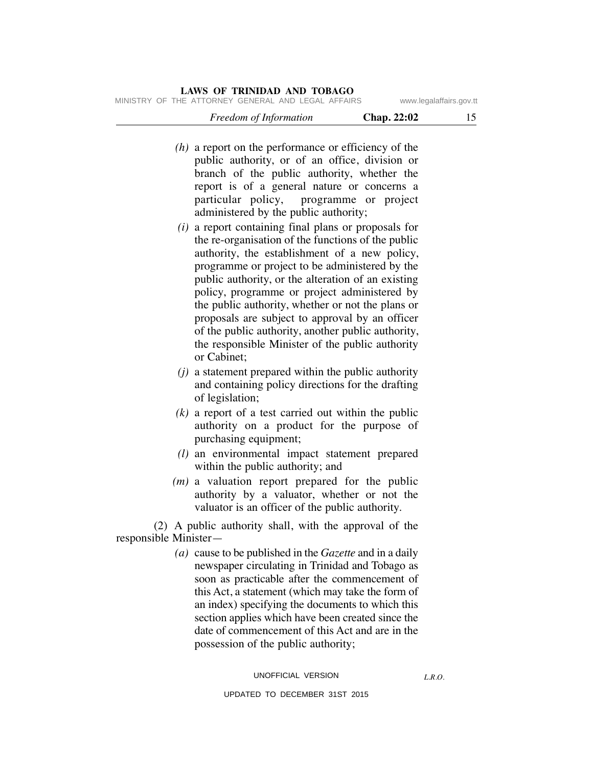MINISTRY OF THE ATTORNEY GENERAL AND LEGAL AFFAIRS www.legalaffairs.gov.tt

| Freedom of Information | Chap. 22:02 |  |
|------------------------|-------------|--|
|                        |             |  |

- *(h)* a report on the performance or efficiency of the public authority, or of an office, division or branch of the public authority, whether the report is of a general nature or concerns a particular policy, programme or project administered by the public authority;
- *(i)* a report containing final plans or proposals for the re-organisation of the functions of the public authority, the establishment of a new policy, programme or project to be administered by the public authority, or the alteration of an existing policy, programme or project administered by the public authority, whether or not the plans or proposals are subject to approval by an officer of the public authority, another public authority, the responsible Minister of the public authority or Cabinet;
- *(j)* a statement prepared within the public authority and containing policy directions for the drafting of legislation;
- $(k)$  a report of a test carried out within the public authority on a product for the purpose of purchasing equipment;
- *(l)* an environmental impact statement prepared within the public authority; and
- *(m)* a valuation report prepared for the public authority by a valuator, whether or not the valuator is an officer of the public authority.

 (2) A public authority shall, with the approval of the responsible Minister—

> *(a)* cause to be published in the *Gazette* and in a daily newspaper circulating in Trinidad and Tobago as soon as practicable after the commencement of this Act, a statement (which may take the form of an index) specifying the documents to which this section applies which have been created since the date of commencement of this Act and are in the possession of the public authority;

*L.R.O.*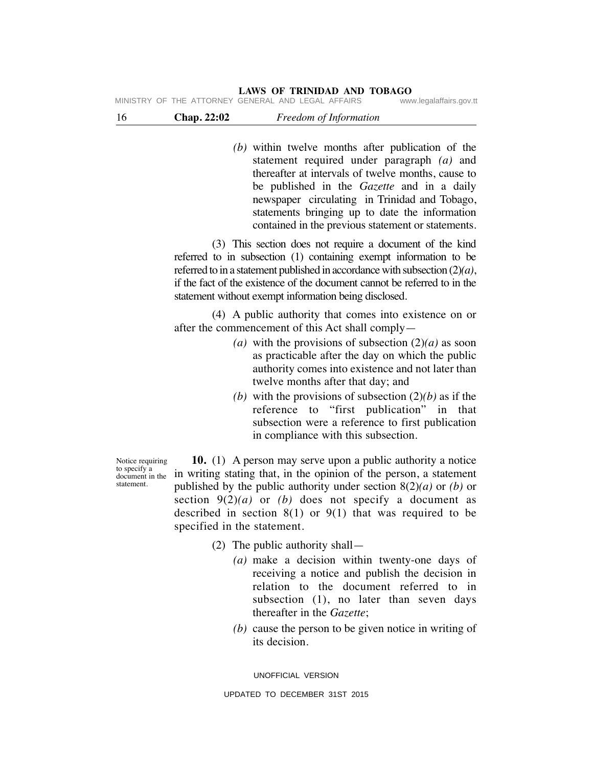16 **Chap. 22:02** *Freedom of Information* MINISTRY OF THE ATTORNEY GENERAL AND LEGAL AFFAIRS

- *(b)* within twelve months after publication of the statement required under paragraph *(a)* and thereafter at intervals of twelve months, cause to
	- be published in the *Gazette* and in a daily newspaper circulating in Trinidad and Tobago, statements bringing up to date the information contained in the previous statement or statements.

 (3) This section does not require a document of the kind referred to in subsection (1) containing exempt information to be referred to in a statement published in accordance with subsection (2)*(a)*, if the fact of the existence of the document cannot be referred to in the statement without exempt information being disclosed.

 (4) A public authority that comes into existence on or after the commencement of this Act shall comply—

- (a) with the provisions of subsection  $(2)(a)$  as soon as practicable after the day on which the public authority comes into existence and not later than twelve months after that day; and
- *(b)* with the provisions of subsection  $(2)(b)$  as if the reference to "first publication" in that subsection were a reference to first publication in compliance with this subsection.

 **10.** (1) A person may serve upon a public authority a notice in writing stating that, in the opinion of the person, a statement published by the public authority under section 8(2)*(a)* or *(b)* or section  $9(2)(a)$  or *(b)* does not specify a document as described in section  $8(1)$  or  $9(1)$  that was required to be specified in the statement.

- (2) The public authority shall—
	- *(a)* make a decision within twenty-one days of receiving a notice and publish the decision in relation to the document referred to in subsection (1), no later than seven days thereafter in the *Gazette*;
	- *(b)* cause the person to be given notice in writing of its decision.

UNOFFICIAL VERSION

Notice requiring to specify a document in the statement.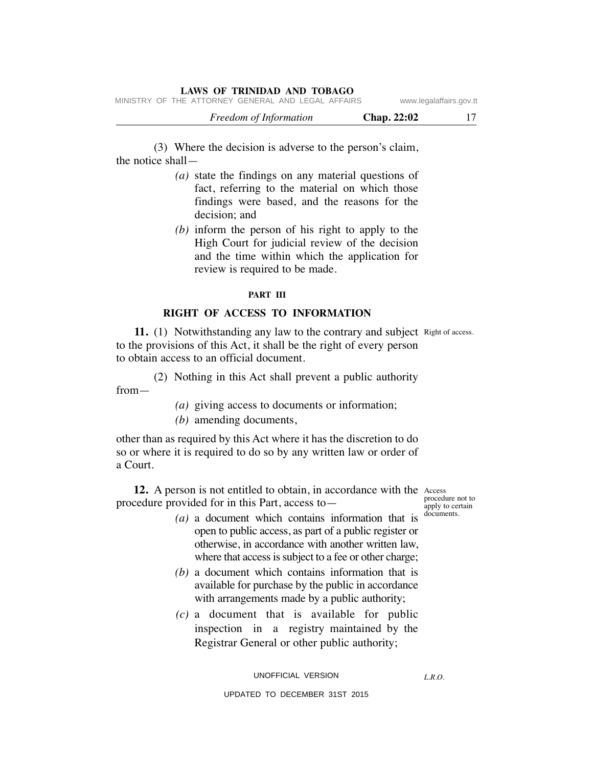|  |                                                    | <b>Freedom of Information</b> |  |  | Chap. 22:02 |                         |  |
|--|----------------------------------------------------|-------------------------------|--|--|-------------|-------------------------|--|
|  | MINISTRY OF THE ATTORNEY GENERAL AND LEGAL AFFAIRS |                               |  |  |             | www.legalaffairs.gov.tt |  |

 (3) Where the decision is adverse to the person's claim, the notice shall—

- *(a)* state the findings on any material questions of fact, referring to the material on which those findings were based, and the reasons for the decision; and
- *(b)* inform the person of his right to apply to the High Court for judicial review of the decision and the time within which the application for review is required to be made.

#### **PART III**

#### **RIGHT OF ACCESS TO INFORMATION**

11. (1) Notwithstanding any law to the contrary and subject Right of access. to the provisions of this Act, it shall be the right of every person to obtain access to an official document.

 (2) Nothing in this Act shall prevent a public authority from—

 *(a)* giving access to documents or information;

 *(b)* amending documents,

other than as required by this Act where it has the discretion to do so or where it is required to do so by any written law or order of a Court.

12. A person is not entitled to obtain, in accordance with the Access procedure provided for in this Part, access to—

procedure not to **apply** to certain documents.

- *(a)* a document which contains information that is open to public access, as part of a public register or otherwise, in accordance with another written law, where that access is subject to a fee or other charge;
- *(b)* a document which contains information that is available for purchase by the public in accordance with arrangements made by a public authority;
- *(c)* a document that is available for public inspection in a registry maintained by the Registrar General or other public authority;

UNOFFICIAL VERSION

UPDATED TO DECEMBER 31ST 2015

*L.R.O.*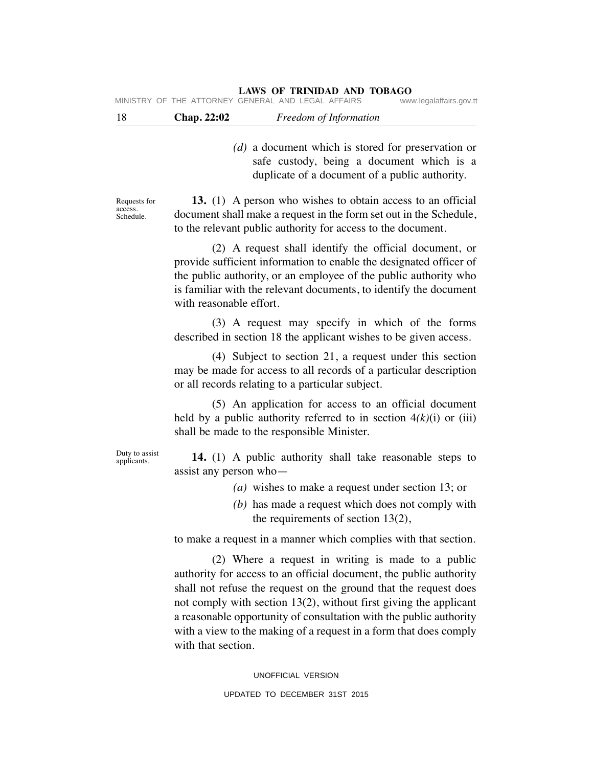18 **Chap. 22:02** *Freedom of Information*

 *(d)* a document which is stored for preservation or safe custody, being a document which is a duplicate of a document of a public authority.

Requests for access. Schedule.

 **13.** (1) A person who wishes to obtain access to an official document shall make a request in the form set out in the Schedule, to the relevant public authority for access to the document.

 (2) A request shall identify the official document, or provide sufficient information to enable the designated officer of the public authority, or an employee of the public authority who is familiar with the relevant documents, to identify the document with reasonable effort.

 (3) A request may specify in which of the forms described in section 18 the applicant wishes to be given access.

 (4) Subject to section 21, a request under this section may be made for access to all records of a particular description or all records relating to a particular subject.

 (5) An application for access to an official document held by a public authority referred to in section  $4(k)(i)$  or (iii) shall be made to the responsible Minister.

Duty to assist applicants.

 **14.** (1) A public authority shall take reasonable steps to assist any person who—

- *(a)* wishes to make a request under section 13; or
- *(b)* has made a request which does not comply with the requirements of section 13(2),

to make a request in a manner which complies with that section.

 (2) Where a request in writing is made to a public authority for access to an official document, the public authority shall not refuse the request on the ground that the request does not comply with section 13(2), without first giving the applicant a reasonable opportunity of consultation with the public authority with a view to the making of a request in a form that does comply with that section.

> UNOFFICIAL VERSION UPDATED TO DECEMBER 31ST 2015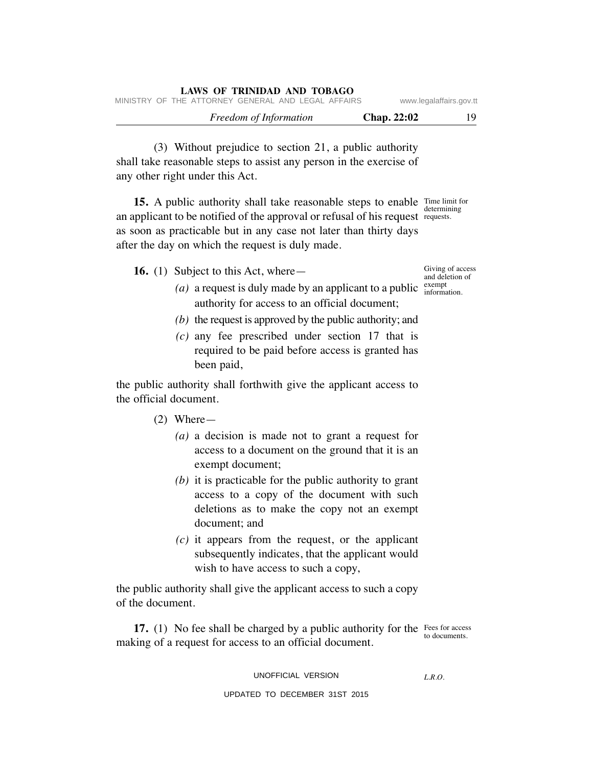| LAWS OF TRINIDAD AND TOBAGO                        |                    |                         |
|----------------------------------------------------|--------------------|-------------------------|
| MINISTRY OF THE ATTORNEY GENERAL AND LEGAL AFFAIRS |                    | www.legalaffairs.gov.tt |
| Freedom of Information                             | <b>Chap. 22:02</b> | 19.                     |

 (3) Without prejudice to section 21, a public authority shall take reasonable steps to assist any person in the exercise of any other right under this Act.

**15.** A public authority shall take reasonable steps to enable Time limit for determining an applicant to be notified of the approval or refusal of his request requests. as soon as practicable but in any case not later than thirty days after the day on which the request is duly made.

**16.** (1) Subject to this Act, where—

- (*a*) a request is duly made by an applicant to a public  $\frac{\text{exempt}}{\text{information}}$ authority for access to an official document;
	- *(b)* the request is approved by the public authority; and
	- *(c)* any fee prescribed under section 17 that is required to be paid before access is granted has been paid,

the public authority shall forthwith give the applicant access to the official document.

- (2) Where—
	- *(a)* a decision is made not to grant a request for access to a document on the ground that it is an exempt document;
	- *(b)* it is practicable for the public authority to grant access to a copy of the document with such deletions as to make the copy not an exempt document; and
	- *(c)* it appears from the request, or the applicant subsequently indicates, that the applicant would wish to have access to such a copy,

the public authority shall give the applicant access to such a copy of the document.

**17.** (1) No fee shall be charged by a public authority for the Fees for access making of a request for access to an official document.

to documents.

UNOFFICIAL VERSION

*L.R.O.* 

UPDATED TO DECEMBER 31ST 2015

Giving of access and deletion of exempt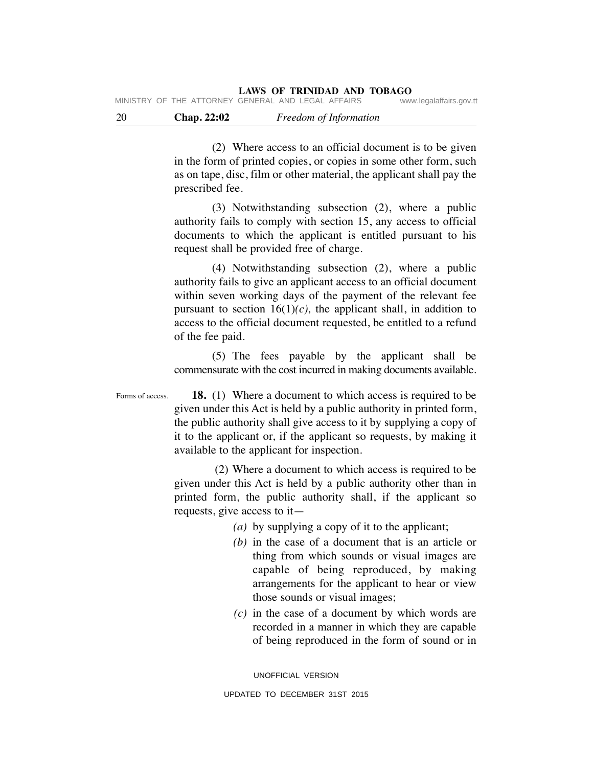(2) Where access to an official document is to be given in the form of printed copies, or copies in some other form, such as on tape, disc, film or other material, the applicant shall pay the prescribed fee.

 (3) Notwithstanding subsection (2), where a public authority fails to comply with section 15, any access to official documents to which the applicant is entitled pursuant to his request shall be provided free of charge.

 (4) Notwithstanding subsection (2), where a public authority fails to give an applicant access to an official document within seven working days of the payment of the relevant fee pursuant to section  $16(1)(c)$ , the applicant shall, in addition to access to the official document requested, be entitled to a refund of the fee paid.

 (5) The fees payable by the applicant shall be commensurate with the cost incurred in making documents available.

Forms of access.

 **18.** (1) Where a document to which access is required to be given under this Act is held by a public authority in printed form, the public authority shall give access to it by supplying a copy of it to the applicant or, if the applicant so requests, by making it available to the applicant for inspection.

 (2) Where a document to which access is required to be given under this Act is held by a public authority other than in printed form, the public authority shall, if the applicant so requests, give access to it—

 *(a)* by supplying a copy of it to the applicant;

- *(b)* in the case of a document that is an article or thing from which sounds or visual images are capable of being reproduced, by making arrangements for the applicant to hear or view those sounds or visual images;
- *(c)* in the case of a document by which words are recorded in a manner in which they are capable of being reproduced in the form of sound or in

UNOFFICIAL VERSION UPDATED TO DECEMBER 31ST 2015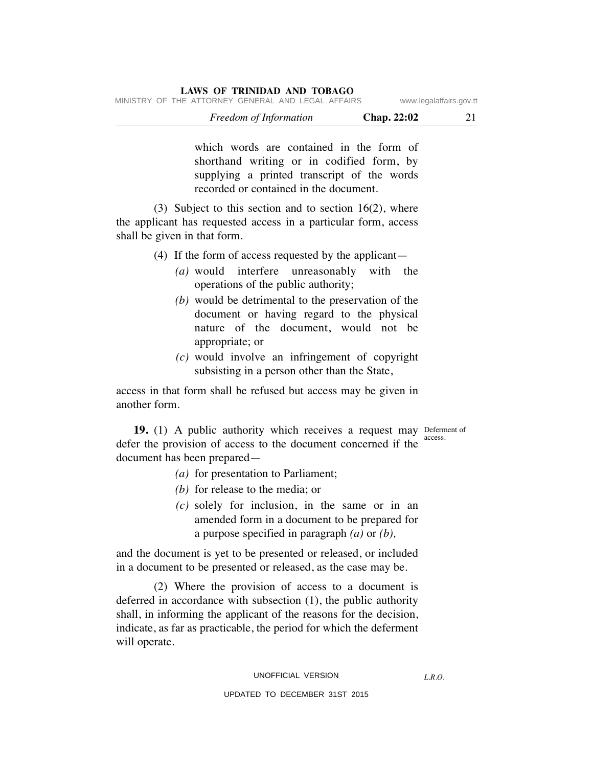| Freedom of Information                             | <b>Chap. 22:02</b>      |  |
|----------------------------------------------------|-------------------------|--|
| MINISTRY OF THE ATTORNEY GENERAL AND LEGAL AFFAIRS | www.legalaffairs.gov.tt |  |

which words are contained in the form of shorthand writing or in codified form, by supplying a printed transcript of the words recorded or contained in the document.

(3) Subject to this section and to section  $16(2)$ , where the applicant has requested access in a particular form, access shall be given in that form.

**LAWS OF TRINIDAD AND TOBAGO**

(4) If the form of access requested by the applicant—

- *(a)* would interfere unreasonably with the operations of the public authority;
- *(b)* would be detrimental to the preservation of the document or having regard to the physical nature of the document, would not be appropriate; or
- *(c)* would involve an infringement of copyright subsisting in a person other than the State,

access in that form shall be refused but access may be given in another form.

19. (1) A public authority which receives a request may Deferment of access. defer the provision of access to the document concerned if the document has been prepared—

- *(a)* for presentation to Parliament;
- *(b)* for release to the media; or
- *(c)* solely for inclusion, in the same or in an amended form in a document to be prepared for a purpose specified in paragraph *(a)* or *(b),*

and the document is yet to be presented or released, or included in a document to be presented or released, as the case may be.

 (2) Where the provision of access to a document is deferred in accordance with subsection (1), the public authority shall, in informing the applicant of the reasons for the decision, indicate, as far as practicable, the period for which the deferment will operate.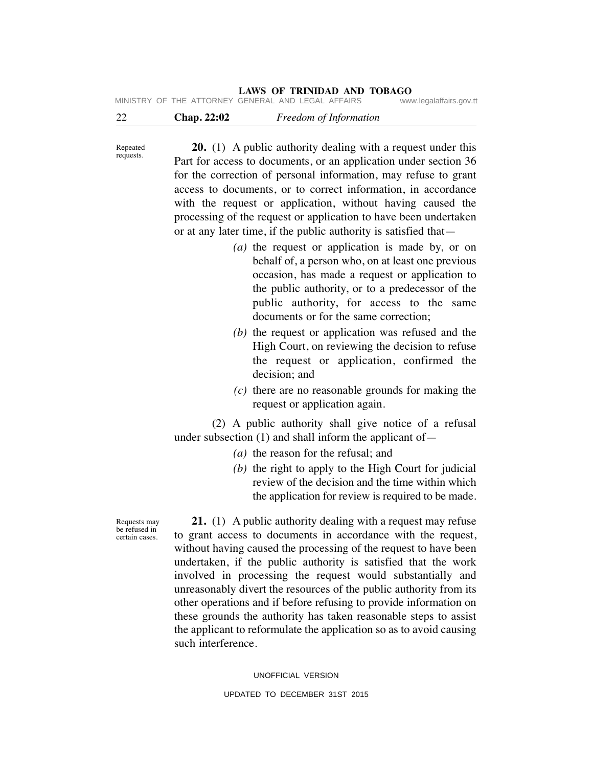| $\sim$ |  | $\sim$ $\sim$                                      |  |  |                         |
|--------|--|----------------------------------------------------|--|--|-------------------------|
|        |  | MINISTRY OF THE ATTORNEY GENERAL AND LEGAL AFFAIRS |  |  | www.legalaffairs.gov.tt |
|        |  |                                                    |  |  |                         |

22 **Chap. 22:02** *Freedom of Information*

Repeated requests.

 **20.** (1) A public authority dealing with a request under this Part for access to documents, or an application under section 36 for the correction of personal information, may refuse to grant access to documents, or to correct information, in accordance with the request or application, without having caused the processing of the request or application to have been undertaken or at any later time, if the public authority is satisfied that—

- *(a)* the request or application is made by, or on behalf of, a person who, on at least one previous occasion, has made a request or application to the public authority, or to a predecessor of the public authority, for access to the same documents or for the same correction;
- *(b)* the request or application was refused and the High Court, on reviewing the decision to refuse the request or application, confirmed the decision; and
- *(c)* there are no reasonable grounds for making the request or application again.

 (2) A public authority shall give notice of a refusal under subsection (1) and shall inform the applicant of—

- *(a)* the reason for the refusal; and
- *(b)* the right to apply to the High Court for judicial review of the decision and the time within which the application for review is required to be made.

 **21.** (1) A public authority dealing with a request may refuse to grant access to documents in accordance with the request, without having caused the processing of the request to have been undertaken, if the public authority is satisfied that the work involved in processing the request would substantially and unreasonably divert the resources of the public authority from its other operations and if before refusing to provide information on these grounds the authority has taken reasonable steps to assist the applicant to reformulate the application so as to avoid causing such interference.

UNOFFICIAL VERSION

UPDATED TO DECEMBER 31ST 2015

Requests may be refused in certain cases.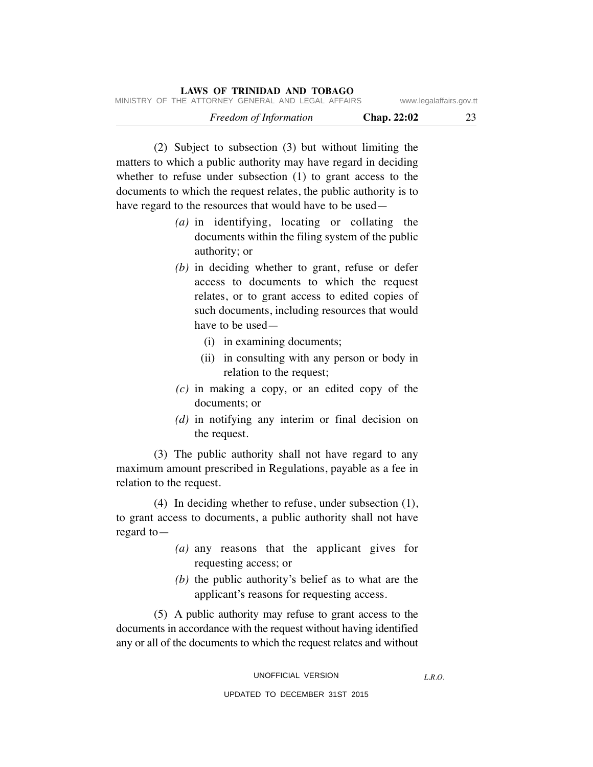|                         |                    | LAWS OF TRINIDAD AND TOBAGO                        |
|-------------------------|--------------------|----------------------------------------------------|
| www.legalaffairs.gov.tt |                    | MINISTRY OF THE ATTORNEY GENERAL AND LEGAL AFFAIRS |
| 23                      | <b>Chap. 22:02</b> | Freedom of Information                             |

 (2) Subject to subsection (3) but without limiting the matters to which a public authority may have regard in deciding whether to refuse under subsection (1) to grant access to the documents to which the request relates, the public authority is to have regard to the resources that would have to be used—

- *(a)* in identifying, locating or collating the documents within the filing system of the public authority; or
- *(b)* in deciding whether to grant, refuse or defer access to documents to which the request relates, or to grant access to edited copies of such documents, including resources that would have to be used—
	- (i) in examining documents;
	- (ii) in consulting with any person or body in relation to the request;
- *(c)* in making a copy, or an edited copy of the documents; or
- *(d)* in notifying any interim or final decision on the request.

 (3) The public authority shall not have regard to any maximum amount prescribed in Regulations, payable as a fee in relation to the request.

 (4) In deciding whether to refuse, under subsection (1), to grant access to documents, a public authority shall not have regard to—

- *(a)* any reasons that the applicant gives for requesting access; or
- *(b)* the public authority's belief as to what are the applicant's reasons for requesting access.

 (5) A public authority may refuse to grant access to the documents in accordance with the request without having identified any or all of the documents to which the request relates and without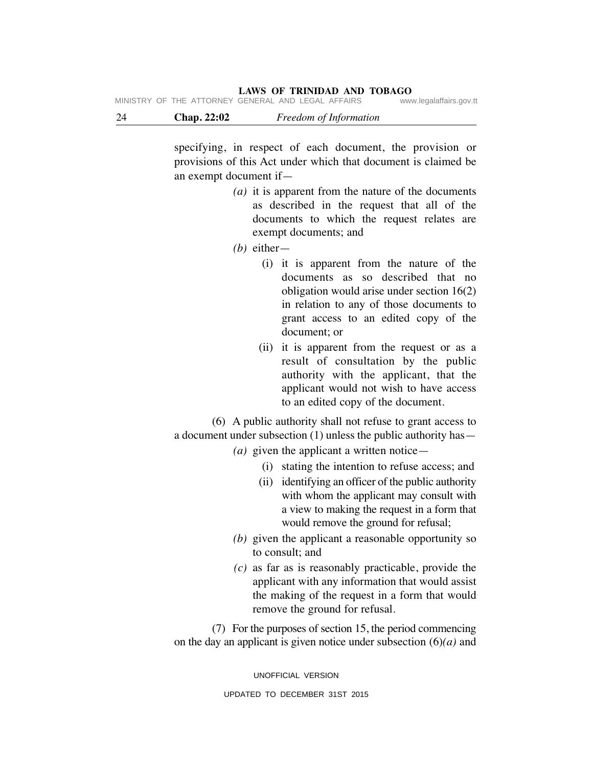|  | MINISTRY OF THE ATTORNEY GENERAL AND LEGAL AFFAIRS |  |  | www.legalaffairs.gov.tt |
|--|----------------------------------------------------|--|--|-------------------------|
|  |                                                    |  |  |                         |

| 24 | <b>Chap. 22:02</b> | Freedom of Information |
|----|--------------------|------------------------|
|    |                    |                        |

specifying, in respect of each document, the provision or provisions of this Act under which that document is claimed be an exempt document if—

- *(a)* it is apparent from the nature of the documents as described in the request that all of the documents to which the request relates are exempt documents; and
- *(b)* either—
	- (i) it is apparent from the nature of the documents as so described that no obligation would arise under section 16(2) in relation to any of those documents to grant access to an edited copy of the document; or
	- (ii) it is apparent from the request or as a result of consultation by the public authority with the applicant, that the applicant would not wish to have access to an edited copy of the document.

 (6) A public authority shall not refuse to grant access to a document under subsection (1) unless the public authority has—

- *(a)* given the applicant a written notice—
	- (i) stating the intention to refuse access; and
	- (ii) identifying an officer of the public authority with whom the applicant may consult with a view to making the request in a form that would remove the ground for refusal;
- *(b)* given the applicant a reasonable opportunity so to consult; and
- *(c)* as far as is reasonably practicable, provide the applicant with any information that would assist the making of the request in a form that would remove the ground for refusal.

 (7) For the purposes of section 15, the period commencing on the day an applicant is given notice under subsection (6)*(a)* and

> UNOFFICIAL VERSION UPDATED TO DECEMBER 31ST 2015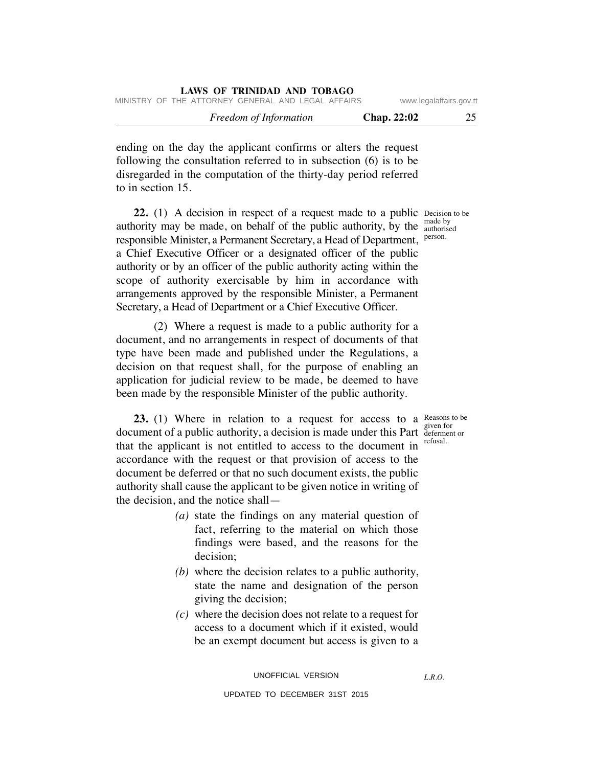| MINISTRY OF THE ATTORNEY GENERAL AND LEGAL AFFAIRS | LAWS OF IKINIDAD AND TODAGO |                    | www.legalaffairs.gov.tt |
|----------------------------------------------------|-----------------------------|--------------------|-------------------------|
|                                                    | Freedom of Information      | <b>Chap. 22:02</b> | 25                      |

ending on the day the applicant confirms or alters the request following the consultation referred to in subsection (6) is to be disregarded in the computation of the thirty-day period referred to in section 15.

**LAWS OF TRINIDAD AND TOBAGO**

**22.** (1) A decision in respect of a request made to a public Decision to be authority may be made, on behalf of the public authority, by the  $\frac{a_{\text{under}}}{a_{\text{under}}}}$ responsible Minister, a Permanent Secretary, a Head of Department, a Chief Executive Officer or a designated officer of the public authority or by an officer of the public authority acting within the scope of authority exercisable by him in accordance with arrangements approved by the responsible Minister, a Permanent Secretary, a Head of Department or a Chief Executive Officer.

 (2) Where a request is made to a public authority for a document, and no arrangements in respect of documents of that type have been made and published under the Regulations, a decision on that request shall, for the purpose of enabling an application for judicial review to be made, be deemed to have been made by the responsible Minister of the public authority.

**23.** (1) Where in relation to a request for access to a Reasons to be document of a public authority, a decision is made under this Part deferment or that the applicant is not entitled to access to the document in accordance with the request or that provision of access to the document be deferred or that no such document exists, the public authority shall cause the applicant to be given notice in writing of the decision, and the notice shall—

- *(a)* state the findings on any material question of fact, referring to the material on which those findings were based, and the reasons for the decision;
- *(b)* where the decision relates to a public authority, state the name and designation of the person giving the decision;
- *(c)* where the decision does not relate to a request for access to a document which if it existed, would be an exempt document but access is given to a

UNOFFICIAL VERSION

*L.R.O.* 

UPDATED TO DECEMBER 31ST 2015

made by person.

given for refusal.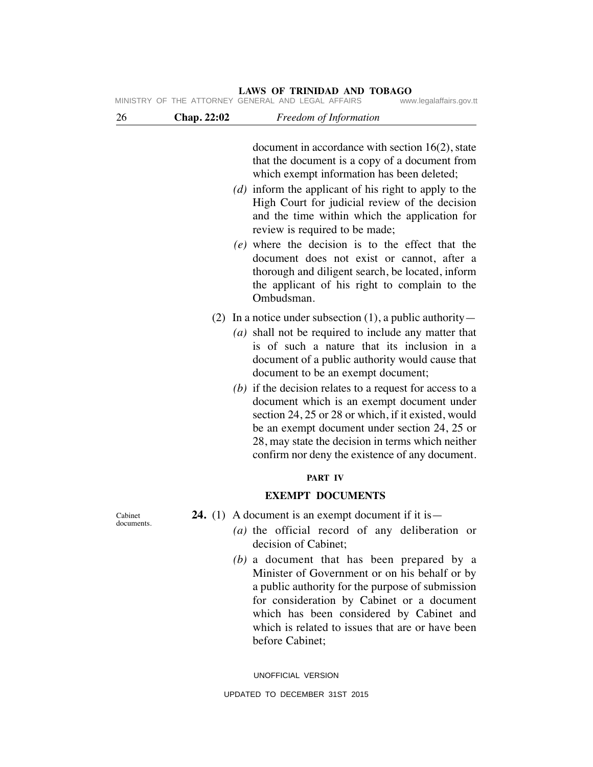|                       |             | LAWS OF TRINIDAD AND TOBAGO<br>MINISTRY OF THE ATTORNEY GENERAL AND LEGAL AFFAIRS<br>www.legalaffairs.gov.tt                                                                                                                                                                                                                                                                                                                                                                                                                                               |
|-----------------------|-------------|------------------------------------------------------------------------------------------------------------------------------------------------------------------------------------------------------------------------------------------------------------------------------------------------------------------------------------------------------------------------------------------------------------------------------------------------------------------------------------------------------------------------------------------------------------|
| 26                    | Chap. 22:02 | Freedom of Information                                                                                                                                                                                                                                                                                                                                                                                                                                                                                                                                     |
|                       |             | document in accordance with section $16(2)$ , state<br>that the document is a copy of a document from<br>which exempt information has been deleted;<br>(d) inform the applicant of his right to apply to the<br>High Court for judicial review of the decision<br>and the time within which the application for<br>review is required to be made;<br>$(e)$ where the decision is to the effect that the<br>document does not exist or cannot, after a<br>thorough and diligent search, be located, inform<br>the applicant of his right to complain to the |
|                       |             | Ombudsman.<br>(2) In a notice under subsection $(1)$ , a public authority —<br>$(a)$ shall not be required to include any matter that<br>is of such a nature that its inclusion in a<br>document of a public authority would cause that                                                                                                                                                                                                                                                                                                                    |
|                       |             | document to be an exempt document;<br>(b) if the decision relates to a request for access to a<br>document which is an exempt document under<br>section 24, 25 or 28 or which, if it existed, would<br>be an exempt document under section 24, 25 or<br>28, may state the decision in terms which neither<br>confirm nor deny the existence of any document.                                                                                                                                                                                               |
|                       |             | <b>PART IV</b>                                                                                                                                                                                                                                                                                                                                                                                                                                                                                                                                             |
|                       |             | <b>EXEMPT DOCUMENTS</b>                                                                                                                                                                                                                                                                                                                                                                                                                                                                                                                                    |
| Cabinet<br>documents. |             | <b>24.</b> (1) A document is an exempt document if it is $-$<br>$(a)$ the official record of any deliberation or                                                                                                                                                                                                                                                                                                                                                                                                                                           |

## decision of Cabinet;  *(b)* a document that has been prepared by a Minister of Government or on his behalf or by a public authority for the purpose of submission for consideration by Cabinet or a document which has been considered by Cabinet and which is related to issues that are or have been

UNOFFICIAL VERSION

before Cabinet;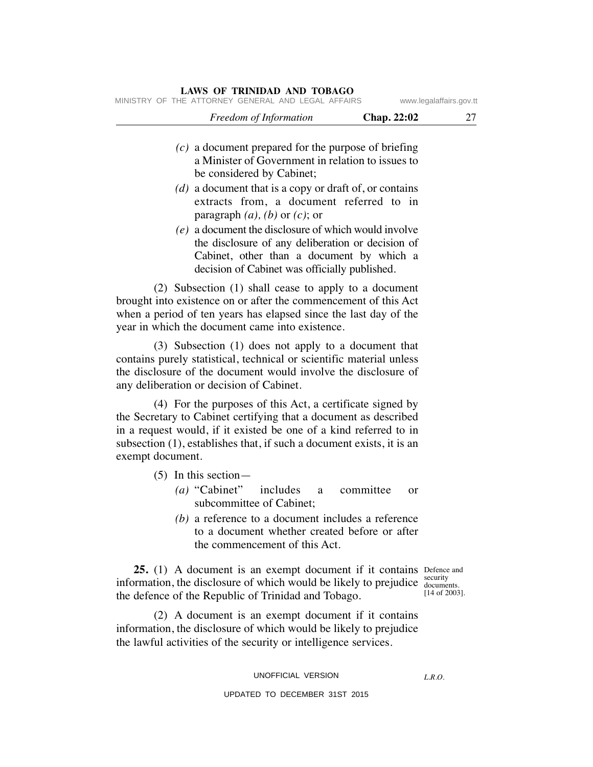| www.legalaffairs.gov.tt |                    | MINISTRY OF THE ATTORNEY GENERAL AND LEGAL AFFAIRS                                                                                          |
|-------------------------|--------------------|---------------------------------------------------------------------------------------------------------------------------------------------|
| 27                      | <b>Chap. 22:02</b> | Freedom of Information                                                                                                                      |
|                         |                    | $(c)$ a document prepared for the purpose of briefing<br>a Minister of Government in relation to issues to<br>be considered by Cabinet;     |
|                         |                    | (d) a document that is a copy or draft of, or contains<br>extracts from, a document referred to in<br>paragraph $(a)$ , $(b)$ or $(c)$ ; or |
|                         |                    | $(e)$ a document the disclosure of which would involve<br>the disclosure of any deliberation or decision of                                 |

the disclosure of any deliberation or decision of Cabinet, other than a document by which a decision of Cabinet was officially published.

 (2) Subsection (1) shall cease to apply to a document brought into existence on or after the commencement of this Act when a period of ten years has elapsed since the last day of the year in which the document came into existence.

 (3) Subsection (1) does not apply to a document that contains purely statistical, technical or scientific material unless the disclosure of the document would involve the disclosure of any deliberation or decision of Cabinet.

 (4) For the purposes of this Act, a certificate signed by the Secretary to Cabinet certifying that a document as described in a request would, if it existed be one of a kind referred to in subsection (1), establishes that, if such a document exists, it is an exempt document.

- (5) In this section—
	- *(a)* "Cabinet" includes a committee or subcommittee of Cabinet;
	- *(b)* a reference to a document includes a reference to a document whether created before or after the commencement of this Act.

**25.** (1) A document is an exempt document if it contains Defence and security information, the disclosure of which would be likely to prejudice  $\frac{3}{\text{documents}}$ the defence of the Republic of Trinidad and Tobago.

[14 of 2003].

*L.R.O.* 

 (2) A document is an exempt document if it contains information, the disclosure of which would be likely to prejudice the lawful activities of the security or intelligence services.

#### UNOFFICIAL VERSION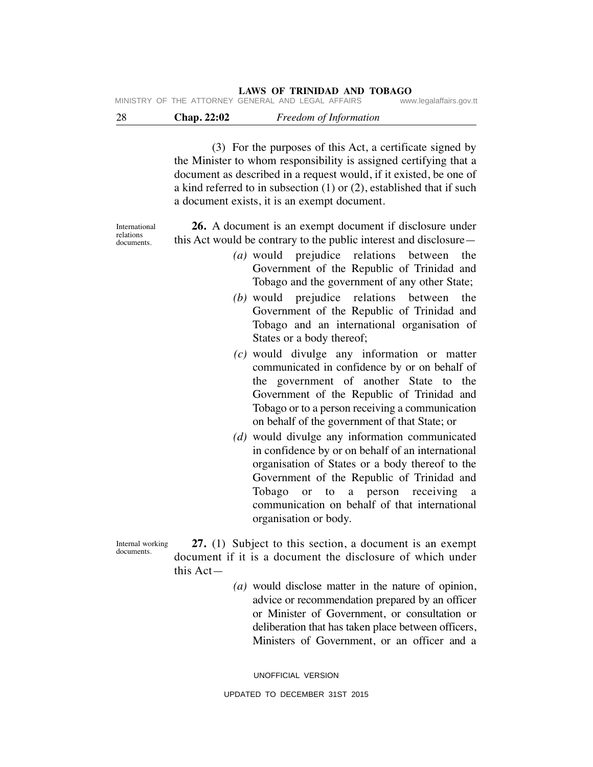| -28 | <b>Chap. 22:02</b> | Freedom of Information                              |                        |
|-----|--------------------|-----------------------------------------------------|------------------------|
|     |                    | IVIINDIRI UF INE AIIURNEI GENERAL AND LEGAL AFFAIRS | www.legalalialis.gov.l |

 (3) For the purposes of this Act, a certificate signed by the Minister to whom responsibility is assigned certifying that a document as described in a request would, if it existed, be one of a kind referred to in subsection (1) or (2), established that if such a document exists, it is an exempt document.

International relations documents.

 **26.** A document is an exempt document if disclosure under this Act would be contrary to the public interest and disclosure—

- *(a)* would prejudice relations between the Government of the Republic of Trinidad and Tobago and the government of any other State;
- *(b)* would prejudice relations between the Government of the Republic of Trinidad and Tobago and an international organisation of States or a body thereof;
- *(c)* would divulge any information or matter communicated in confidence by or on behalf of the government of another State to the Government of the Republic of Trinidad and Tobago or to a person receiving a communication on behalf of the government of that State; or
- *(d)* would divulge any information communicated in confidence by or on behalf of an international organisation of States or a body thereof to the Government of the Republic of Trinidad and Tobago or to a person receiving a communication on behalf of that international organisation or body.

Internal working documents.

 **27.** (1) Subject to this section, a document is an exempt document if it is a document the disclosure of which under this Act—

> *(a)* would disclose matter in the nature of opinion, advice or recommendation prepared by an officer or Minister of Government, or consultation or deliberation that has taken place between officers, Ministers of Government, or an officer and a

UNOFFICIAL VERSION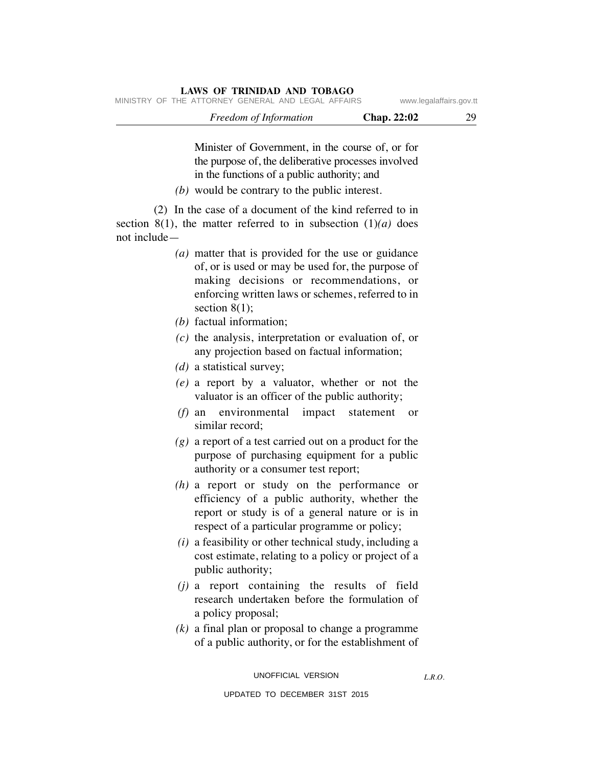| MINISTRY OF THE ATTORNEY GENERAL AND LEGAL AFFAIRS |                        |                    | www.legalaffairs.gov.tt |
|----------------------------------------------------|------------------------|--------------------|-------------------------|
|                                                    | Freedom of Information | <b>Chap. 22:02</b> | 29                      |

Minister of Government, in the course of, or for the purpose of, the deliberative processes involved in the functions of a public authority; and

 *(b)* would be contrary to the public interest.

 (2) In the case of a document of the kind referred to in section 8(1), the matter referred to in subsection  $(1)(a)$  does not include—

**LAWS OF TRINIDAD AND TOBAGO**

- *(a)* matter that is provided for the use or guidance of, or is used or may be used for, the purpose of making decisions or recommendations, or enforcing written laws or schemes, referred to in section  $8(1)$ ;
- *(b)* factual information;
- *(c)* the analysis, interpretation or evaluation of, or any projection based on factual information;
- *(d)* a statistical survey;
- *(e)* a report by a valuator, whether or not the valuator is an officer of the public authority;
- *(f)* an environmental impact statement or similar record;
- *(g)* a report of a test carried out on a product for the purpose of purchasing equipment for a public authority or a consumer test report;
- *(h)* a report or study on the performance or efficiency of a public authority, whether the report or study is of a general nature or is in respect of a particular programme or policy;
- *(i)* a feasibility or other technical study, including a cost estimate, relating to a policy or project of a public authority;
- *(j)* a report containing the results of field research undertaken before the formulation of a policy proposal;
- *(k)* a final plan or proposal to change a programme of a public authority, or for the establishment of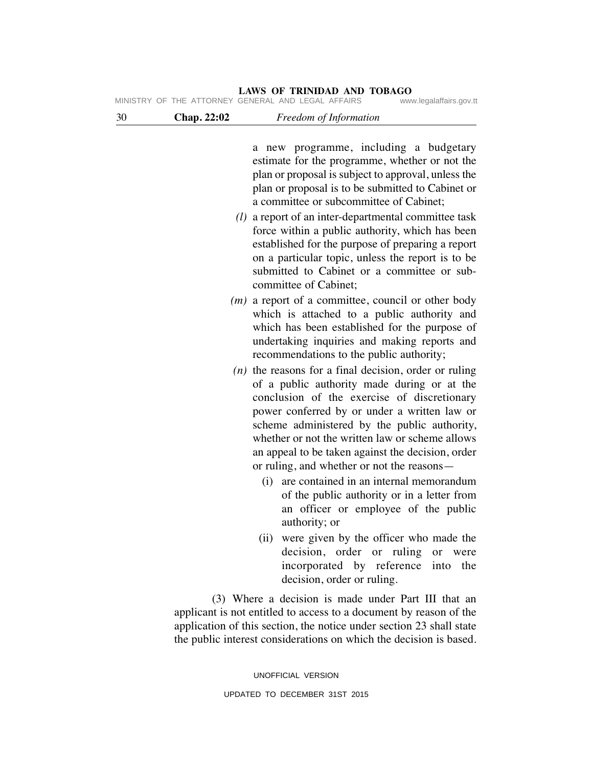|    |             | LAWS OF TRINIDAD AND TOBAGO<br>MINISTRY OF THE ATTORNEY GENERAL AND LEGAL AFFAIRS<br>www.legalaffairs.gov.tt                                                                                                                                                                                                                                                                                                |
|----|-------------|-------------------------------------------------------------------------------------------------------------------------------------------------------------------------------------------------------------------------------------------------------------------------------------------------------------------------------------------------------------------------------------------------------------|
| 30 | Chap. 22:02 | Freedom of Information                                                                                                                                                                                                                                                                                                                                                                                      |
|    |             | a new programme, including a budgetary<br>estimate for the programme, whether or not the<br>plan or proposal is subject to approval, unless the<br>plan or proposal is to be submitted to Cabinet or<br>a committee or subcommittee of Cabinet;                                                                                                                                                             |
|    |             | $(l)$ a report of an inter-departmental committee task<br>force within a public authority, which has been<br>established for the purpose of preparing a report<br>on a particular topic, unless the report is to be<br>submitted to Cabinet or a committee or sub-<br>committee of Cabinet;                                                                                                                 |
|    |             | $(m)$ a report of a committee, council or other body<br>which is attached to a public authority and<br>which has been established for the purpose of<br>undertaking inquiries and making reports and<br>recommendations to the public authority;                                                                                                                                                            |
|    |             | $(n)$ the reasons for a final decision, order or ruling<br>of a public authority made during or at the<br>conclusion of the exercise of discretionary<br>power conferred by or under a written law or<br>scheme administered by the public authority,<br>whether or not the written law or scheme allows<br>an appeal to be taken against the decision, order<br>or ruling, and whether or not the reasons— |
|    |             | (i) are contained in an internal memorandum<br>of the public authority or in a letter from<br>an officer or employee of the public<br>authority; or                                                                                                                                                                                                                                                         |
|    |             | were given by the officer who made the<br>(ii)<br>decision, order<br>ruling<br><b>or</b><br>or<br>were<br>incorporated by reference into<br>the                                                                                                                                                                                                                                                             |

 (3) Where a decision is made under Part III that an applicant is not entitled to access to a document by reason of the application of this section, the notice under section 23 shall state the public interest considerations on which the decision is based.

decision, order or ruling.

UNOFFICIAL VERSION UPDATED TO DECEMBER 31ST 2015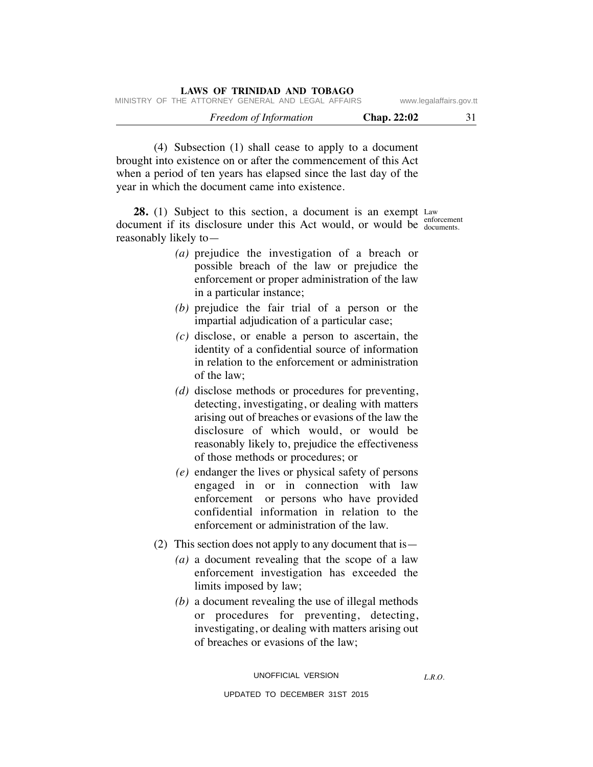| LAWS OF INIMPAD AND TODAGO                         |             |                         |
|----------------------------------------------------|-------------|-------------------------|
| MINISTRY OF THE ATTORNEY GENERAL AND LEGAL AFFAIRS |             | www.legalaffairs.gov.tt |
| Freedom of Information                             | Chap. 22:02 | 31                      |

 (4) Subsection (1) shall cease to apply to a document brought into existence on or after the commencement of this Act when a period of ten years has elapsed since the last day of the year in which the document came into existence.

**LAWS OF TRINIDAD AND TOBAGO**

**28.** (1) Subject to this section, a document is an exempt Law enforcement document if its disclosure under this Act would, or would be  $\frac{C_{\text{color}}}{\text{color}{time}}$ reasonably likely to—

- *(a)* prejudice the investigation of a breach or possible breach of the law or prejudice the enforcement or proper administration of the law in a particular instance;
- *(b)* prejudice the fair trial of a person or the impartial adjudication of a particular case;
- *(c)* disclose, or enable a person to ascertain, the identity of a confidential source of information in relation to the enforcement or administration of the law;
- *(d)* disclose methods or procedures for preventing, detecting, investigating, or dealing with matters arising out of breaches or evasions of the law the disclosure of which would, or would be reasonably likely to, prejudice the effectiveness of those methods or procedures; or
- *(e)* endanger the lives or physical safety of persons engaged in or in connection with law enforcement or persons who have provided confidential information in relation to the enforcement or administration of the law.
- (2) This section does not apply to any document that is—
	- *(a)* a document revealing that the scope of a law enforcement investigation has exceeded the limits imposed by law;
	- *(b)* a document revealing the use of illegal methods or procedures for preventing, detecting, investigating, or dealing with matters arising out of breaches or evasions of the law;

*L.R.O.*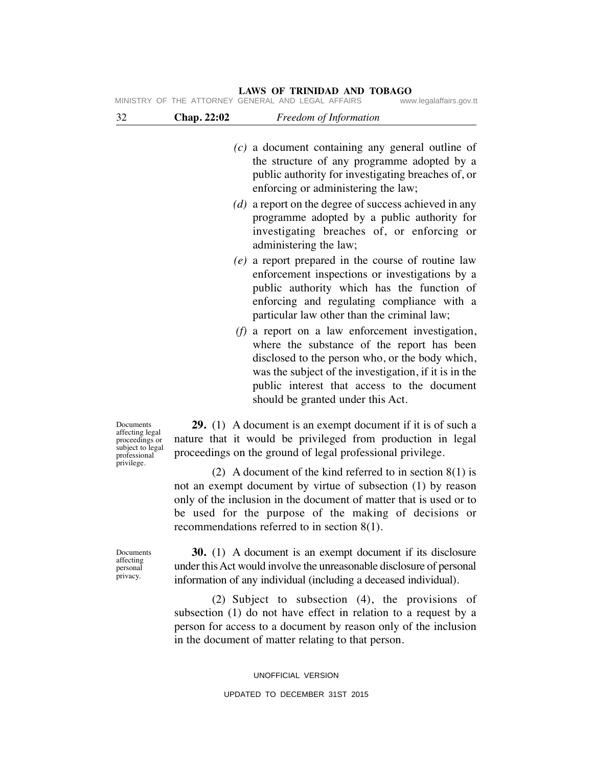| 32                                                                                 | Chap. 22:02 | Freedom of Information                                                                                                                                                                                                                                                                           |
|------------------------------------------------------------------------------------|-------------|--------------------------------------------------------------------------------------------------------------------------------------------------------------------------------------------------------------------------------------------------------------------------------------------------|
|                                                                                    |             | $(c)$ a document containing any general outline of<br>the structure of any programme adopted by a<br>public authority for investigating breaches of, or<br>enforcing or administering the law;                                                                                                   |
|                                                                                    |             | $(d)$ a report on the degree of success achieved in any<br>programme adopted by a public authority for<br>investigating breaches of, or enforcing or<br>administering the law;                                                                                                                   |
|                                                                                    |             | $(e)$ a report prepared in the course of routine law<br>enforcement inspections or investigations by a<br>public authority which has the function of<br>enforcing and regulating compliance with a<br>particular law other than the criminal law;                                                |
|                                                                                    |             | $(f)$ a report on a law enforcement investigation,<br>where the substance of the report has been<br>disclosed to the person who, or the body which,<br>was the subject of the investigation, if it is in the<br>public interest that access to the document<br>should be granted under this Act. |
| Documents<br>affecting legal<br>proceedings or<br>subject to legal<br>professional |             | <b>29.</b> (1) A document is an exempt document if it is of such a<br>nature that it would be privileged from production in legal<br>proceedings on the ground of legal professional privilege.                                                                                                  |
| privilege.                                                                         |             | (2) A document of the kind referred to in section $8(1)$ is<br>not an exempt document by virtue of subsection (1) by reason                                                                                                                                                                      |

not an exempt document by virtue of subsection (1) by reason only of the inclusion in the document of matter that is used or to be used for the purpose of the making of decisions or recommendations referred to in section 8(1).

Documents affecting personal privacy.

 **30.** (1) A document is an exempt document if its disclosure under this Act would involve the unreasonable disclosure of personal information of any individual (including a deceased individual).

 (2) Subject to subsection (4), the provisions of subsection (1) do not have effect in relation to a request by a person for access to a document by reason only of the inclusion in the document of matter relating to that person.

> UNOFFICIAL VERSION UPDATED TO DECEMBER 31ST 2015

#### **LAWS OF TRINIDAD AND TOBAGO**<br>GENERAL AND LEGAL AFFAIRS www.legalaffairs.gov.tt MINISTRY OF THE ATTORNEY GENERAL AND LEGAL AFFAIRS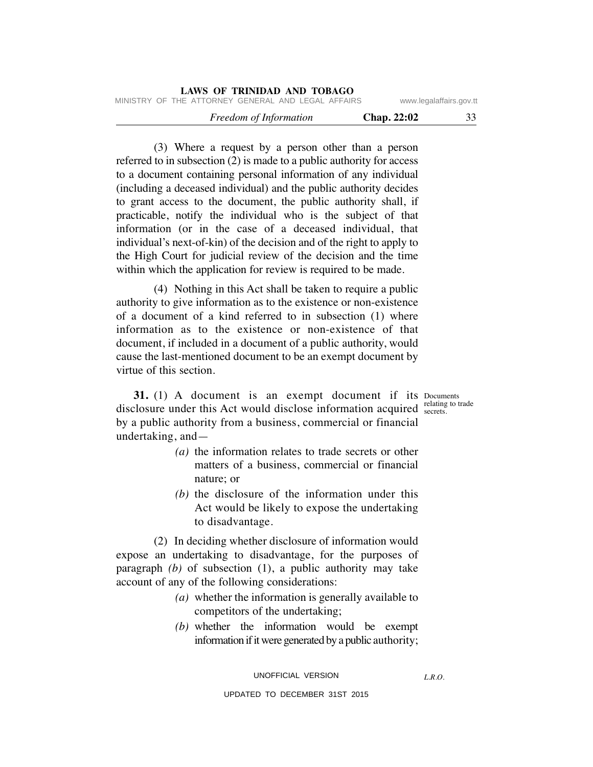|                         |                    | LAWS OF TRINIDAD AND TOBAGO                        |  |
|-------------------------|--------------------|----------------------------------------------------|--|
| www.legalaffairs.gov.tt |                    | MINISTRY OF THE ATTORNEY GENERAL AND LEGAL AFFAIRS |  |
| 33                      | <b>Chap. 22:02</b> | Freedom of Information                             |  |

 (3) Where a request by a person other than a person referred to in subsection (2) is made to a public authority for access to a document containing personal information of any individual (including a deceased individual) and the public authority decides to grant access to the document, the public authority shall, if practicable, notify the individual who is the subject of that information (or in the case of a deceased individual, that individual's next-of-kin) of the decision and of the right to apply to the High Court for judicial review of the decision and the time within which the application for review is required to be made.

 (4) Nothing in this Act shall be taken to require a public authority to give information as to the existence or non-existence of a document of a kind referred to in subsection (1) where information as to the existence or non-existence of that document, if included in a document of a public authority, would cause the last-mentioned document to be an exempt document by virtue of this section.

**31.** (1) A document is an exempt document if its Documents relating to trade disclosure under this Act would disclose information acquired  $\frac{\text{learning}}{\text{secrets}}$ . by a public authority from a business, commercial or financial undertaking, and—

- *(a)* the information relates to trade secrets or other matters of a business, commercial or financial nature; or
- *(b)* the disclosure of the information under this Act would be likely to expose the undertaking to disadvantage.

 (2) In deciding whether disclosure of information would expose an undertaking to disadvantage, for the purposes of paragraph *(b)* of subsection (1), a public authority may take account of any of the following considerations:

- *(a)* whether the information is generally available to competitors of the undertaking;
- *(b)* whether the information would be exempt information if it were generated by a public authority;

*L.R.O.*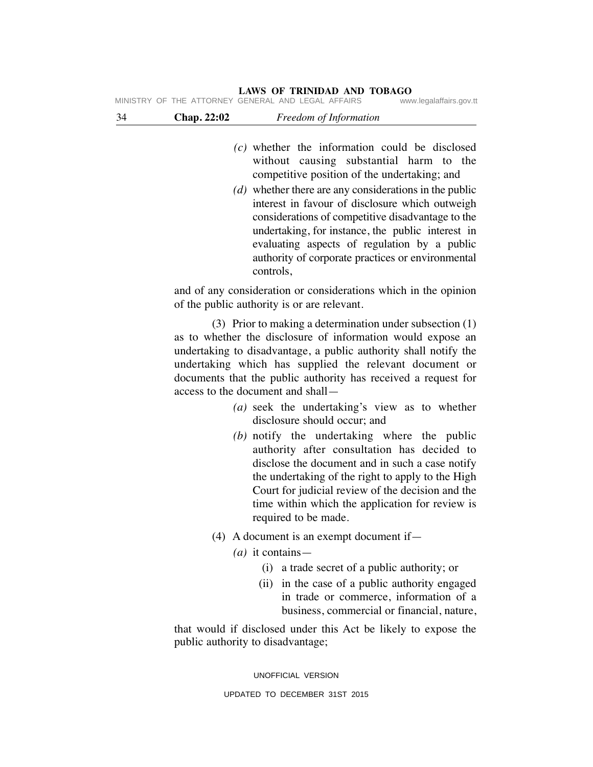|    |                    | LAWS OF TRINIDAD AND TOBAGO<br>MINISTRY OF THE ATTORNEY GENERAL AND LEGAL AFFAIRS | www.legalaffairs.gov.tt |
|----|--------------------|-----------------------------------------------------------------------------------|-------------------------|
| 34 | <b>Chap. 22:02</b> | Freedom of Information                                                            |                         |
|    |                    |                                                                                   |                         |

- *(c)* whether the information could be disclosed without causing substantial harm to the competitive position of the undertaking; and
- *(d)* whether there are any considerations in the public interest in favour of disclosure which outweigh considerations of competitive disadvantage to the undertaking, for instance, the public interest in evaluating aspects of regulation by a public authority of corporate practices or environmental controls,

and of any consideration or considerations which in the opinion of the public authority is or are relevant.

 (3) Prior to making a determination under subsection (1) as to whether the disclosure of information would expose an undertaking to disadvantage, a public authority shall notify the undertaking which has supplied the relevant document or documents that the public authority has received a request for access to the document and shall—

- *(a)* seek the undertaking's view as to whether disclosure should occur; and
- *(b)* notify the undertaking where the public authority after consultation has decided to disclose the document and in such a case notify the undertaking of the right to apply to the High Court for judicial review of the decision and the time within which the application for review is required to be made.
- (4) A document is an exempt document if—
	- *(a)* it contains—
		- (i) a trade secret of a public authority; or
		- (ii) in the case of a public authority engaged in trade or commerce, information of a business, commercial or financial, nature,

that would if disclosed under this Act be likely to expose the public authority to disadvantage;

UNOFFICIAL VERSION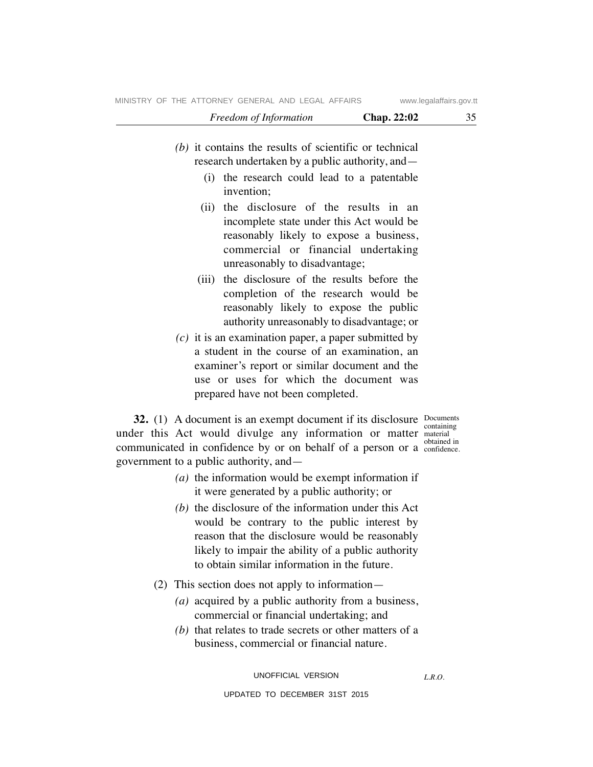- *(b)* it contains the results of scientific or technical research undertaken by a public authority, and—
	- (i) the research could lead to a patentable invention;
	- (ii) the disclosure of the results in an incomplete state under this Act would be reasonably likely to expose a business, commercial or financial undertaking unreasonably to disadvantage;
	- (iii) the disclosure of the results before the completion of the research would be reasonably likely to expose the public authority unreasonably to disadvantage; or
- *(c)* it is an examination paper, a paper submitted by a student in the course of an examination, an examiner's report or similar document and the use or uses for which the document was prepared have not been completed.

**32.** (1) A document is an exempt document if its disclosure Documents under this Act would divulge any information or matter material communicated in confidence by or on behalf of a person or a confidence. government to a public authority, and—

containing obtained in

- *(a)* the information would be exempt information if it were generated by a public authority; or
- *(b)* the disclosure of the information under this Act would be contrary to the public interest by reason that the disclosure would be reasonably likely to impair the ability of a public authority to obtain similar information in the future.
- (2) This section does not apply to information—
	- *(a)* acquired by a public authority from a business, commercial or financial undertaking; and
	- *(b)* that relates to trade secrets or other matters of a business, commercial or financial nature.

UNOFFICIAL VERSION UPDATED TO DECEMBER 31ST 2015

*L.R.O.*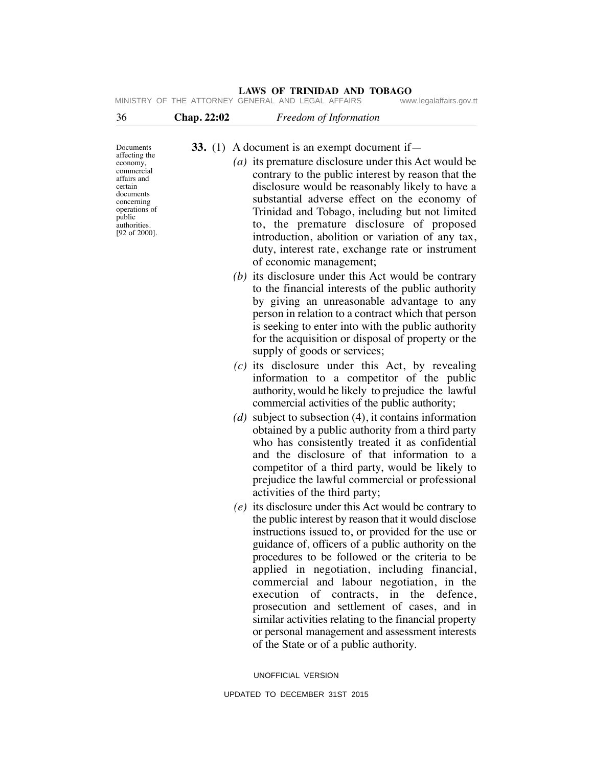| 36                                                                                                                                                                                | Chap. 22:02 | Freedom of Information                                                                                                                                                                                                                                                                                                                                                                                                                                                                                                                                                                                                             |
|-----------------------------------------------------------------------------------------------------------------------------------------------------------------------------------|-------------|------------------------------------------------------------------------------------------------------------------------------------------------------------------------------------------------------------------------------------------------------------------------------------------------------------------------------------------------------------------------------------------------------------------------------------------------------------------------------------------------------------------------------------------------------------------------------------------------------------------------------------|
| Documents<br>affecting the<br>economy,<br>commercial<br>affairs and<br>certain<br>documents<br>concerning<br>operations of<br>public<br>authorities.<br>$[92 \text{ of } 2000]$ . |             | <b>33.</b> (1) A document is an exempt document if $-$<br>(a) its premature disclosure under this Act would be<br>contrary to the public interest by reason that the<br>disclosure would be reasonably likely to have a<br>substantial adverse effect on the economy of<br>Trinidad and Tobago, including but not limited<br>to, the premature disclosure of proposed<br>introduction, abolition or variation of any tax,<br>duty, interest rate, exchange rate or instrument                                                                                                                                                      |
|                                                                                                                                                                                   |             | of economic management;<br>(b) its disclosure under this Act would be contrary<br>to the financial interests of the public authority<br>by giving an unreasonable advantage to any<br>person in relation to a contract which that person<br>is seeking to enter into with the public authority<br>for the acquisition or disposal of property or the<br>supply of goods or services;                                                                                                                                                                                                                                               |
|                                                                                                                                                                                   |             | $(c)$ its disclosure under this Act, by revealing<br>information to a competitor of the public<br>authority, would be likely to prejudice the lawful<br>commercial activities of the public authority;                                                                                                                                                                                                                                                                                                                                                                                                                             |
|                                                                                                                                                                                   | (d)         | subject to subsection $(4)$ , it contains information<br>obtained by a public authority from a third party<br>who has consistently treated it as confidential<br>and the disclosure of that information to a<br>competitor of a third party, would be likely to<br>prejudice the lawful commercial or professional<br>activities of the third party;                                                                                                                                                                                                                                                                               |
|                                                                                                                                                                                   |             | $(e)$ its disclosure under this Act would be contrary to<br>the public interest by reason that it would disclose<br>instructions issued to, or provided for the use or<br>guidance of, officers of a public authority on the<br>procedures to be followed or the criteria to be<br>applied in negotiation, including financial,<br>commercial and labour negotiation, in the<br>execution of contracts, in<br>the<br>defence.<br>prosecution and settlement of cases, and in<br>similar activities relating to the financial property<br>or personal management and assessment interests<br>of the State or of a public authority. |
|                                                                                                                                                                                   |             | UNOFFICIAL VERSION                                                                                                                                                                                                                                                                                                                                                                                                                                                                                                                                                                                                                 |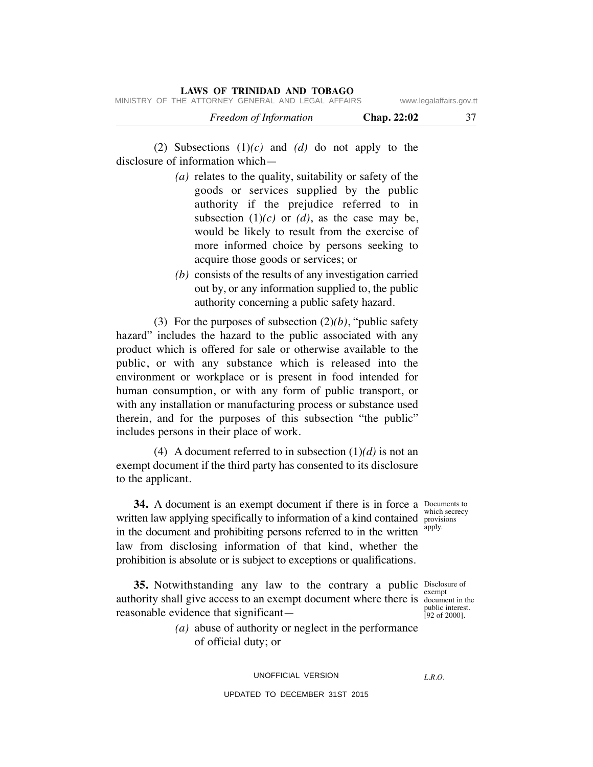| Freedom of Information | Chap. 22:02 |  |
|------------------------|-------------|--|
|------------------------|-------------|--|

 (2) Subsections (1)*(c)* and *(d)* do not apply to the disclosure of information which—

- *(a)* relates to the quality, suitability or safety of the goods or services supplied by the public authority if the prejudice referred to in subsection  $(1)(c)$  or  $(d)$ , as the case may be, would be likely to result from the exercise of more informed choice by persons seeking to acquire those goods or services; or
- *(b)* consists of the results of any investigation carried out by, or any information supplied to, the public authority concerning a public safety hazard.

 (3) For the purposes of subsection (2)*(b)*, "public safety hazard" includes the hazard to the public associated with any product which is offered for sale or otherwise available to the public, or with any substance which is released into the environment or workplace or is present in food intended for human consumption, or with any form of public transport, or with any installation or manufacturing process or substance used therein, and for the purposes of this subsection "the public" includes persons in their place of work.

 (4) A document referred to in subsection (1)*(d)* is not an exempt document if the third party has consented to its disclosure to the applicant.

**34.** A document is an exempt document if there is in force a Documents to written law applying specifically to information of a kind contained provisions in the document and prohibiting persons referred to in the written law from disclosing information of that kind, whether the prohibition is absolute or is subject to exceptions or qualifications.

**35.** Notwithstanding any law to the contrary a public Disclosure of exempt authority shall give access to an exempt document where there is document in the public interest. [92 of 2000]. reasonable evidence that significant—

> *(a)* abuse of authority or neglect in the performance of official duty; or

> > UNOFFICIAL VERSION

*L.R.O.* 

UPDATED TO DECEMBER 31ST 2015

which secrecy apply.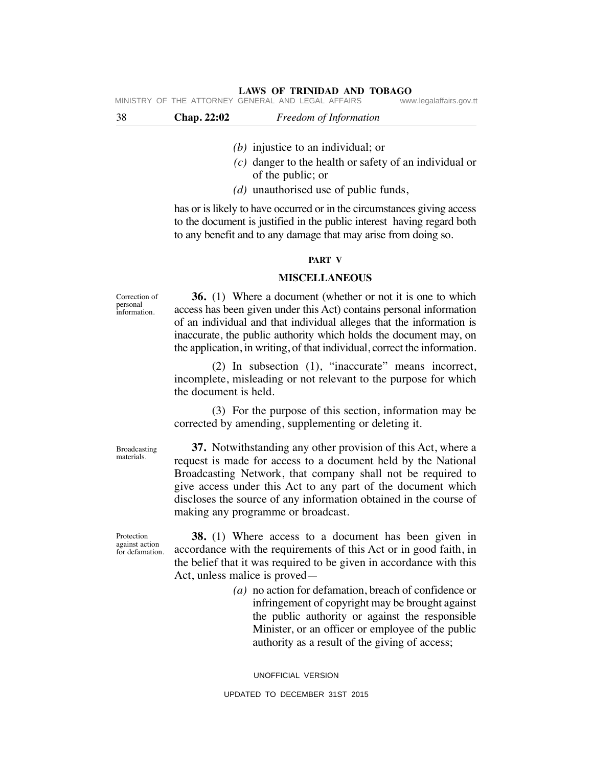| 38 | Chap. 22:02 | Freedom of Information                             |                         |
|----|-------------|----------------------------------------------------|-------------------------|
|    |             | MINISTRY OF THE ATTORNEY GENERAL AND LEGAL AFFAIRS | www.legalaffairs.gov.tt |

- *(b)* injustice to an individual; or
- *(c)* danger to the health or safety of an individual or of the public; or
- *(d)* unauthorised use of public funds,

has or is likely to have occurred or in the circumstances giving access to the document is justified in the public interest having regard both to any benefit and to any damage that may arise from doing so.

#### **PART V**

#### **MISCELLANEOUS**

 **36.** (1) Where a document (whether or not it is one to which access has been given under this Act) contains personal information of an individual and that individual alleges that the information is inaccurate, the public authority which holds the document may, on the application, in writing, of that individual, correct the information.

 (2) In subsection (1), "inaccurate" means incorrect, incomplete, misleading or not relevant to the purpose for which the document is held.

 (3) For the purpose of this section, information may be corrected by amending, supplementing or deleting it.

Broadcasting materials.

Correction of personal information.

> **37.** Notwithstanding any other provision of this Act, where a request is made for access to a document held by the National Broadcasting Network, that company shall not be required to give access under this Act to any part of the document which discloses the source of any information obtained in the course of making any programme or broadcast.

Protection against action for defamation.

 **38.** (1) Where access to a document has been given in accordance with the requirements of this Act or in good faith, in the belief that it was required to be given in accordance with this Act, unless malice is proved—

> *(a)* no action for defamation, breach of confidence or infringement of copyright may be brought against the public authority or against the responsible Minister, or an officer or employee of the public authority as a result of the giving of access;

UNOFFICIAL VERSION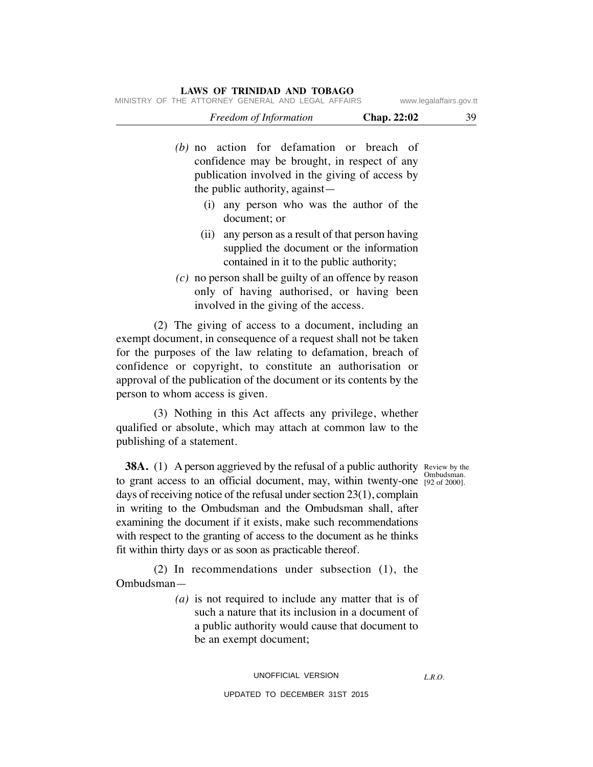|  |                                                    | <i>Freedom of Information</i> |  |  | <b>Chap.</b> 22:02 |                         |
|--|----------------------------------------------------|-------------------------------|--|--|--------------------|-------------------------|
|  | MINISTRY OF THE ATTORNEY GENERAL AND LEGAL AFFAIRS |                               |  |  |                    | www.legalaffairs.gov.tt |

- *(b)* no action for defamation or breach of confidence may be brought, in respect of any publication involved in the giving of access by the public authority, against—
	- (i) any person who was the author of the document; or
	- (ii) any person as a result of that person having supplied the document or the information contained in it to the public authority;
- *(c)* no person shall be guilty of an offence by reason only of having authorised, or having been involved in the giving of the access.

 (2) The giving of access to a document, including an exempt document, in consequence of a request shall not be taken for the purposes of the law relating to defamation, breach of confidence or copyright, to constitute an authorisation or approval of the publication of the document or its contents by the person to whom access is given.

 (3) Nothing in this Act affects any privilege, whether qualified or absolute, which may attach at common law to the publishing of a statement.

**38A.** (1) A person aggrieved by the refusal of a public authority Review by the [92 of 2000]. to grant access to an official document, may, within twenty-one days of receiving notice of the refusal under section 23(1), complain in writing to the Ombudsman and the Ombudsman shall, after examining the document if it exists, make such recommendations with respect to the granting of access to the document as he thinks fit within thirty days or as soon as practicable thereof.

 (2) In recommendations under subsection (1), the Ombudsman—

> *(a)* is not required to include any matter that is of such a nature that its inclusion in a document of a public authority would cause that document to be an exempt document;

Ombudsman.

*L.R.O.*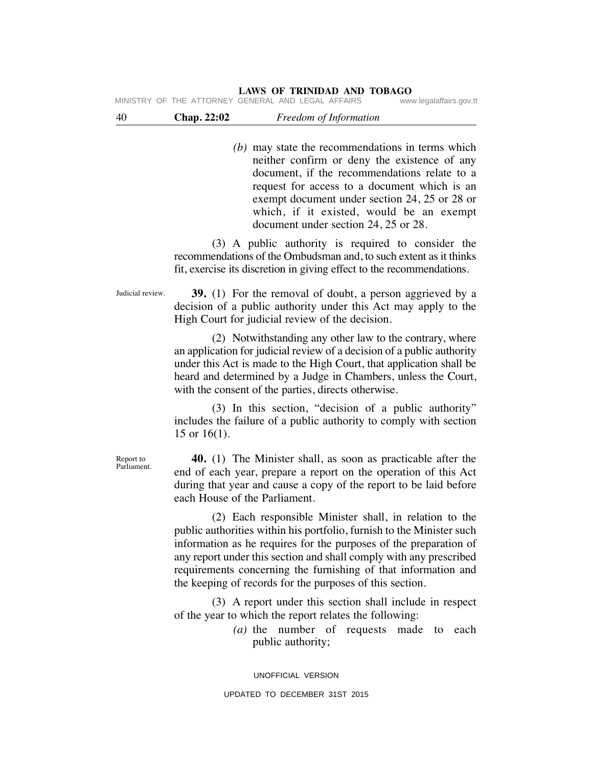MINISTRY OF THE ATTORNEY GENERAL AND LEGAL AFFAIRS

| 40<br><b>Chap. 22:02</b><br>Freedom of Information |  |
|----------------------------------------------------|--|
|----------------------------------------------------|--|

 *(b)* may state the recommendations in terms which neither confirm or deny the existence of any document, if the recommendations relate to a request for access to a document which is an exempt document under section 24, 25 or 28 or which, if it existed, would be an exempt document under section 24, 25 or 28.

(3) A public authority is required to consider the recommendations of the Ombudsman and, to such extent as it thinks fit, exercise its discretion in giving effect to the recommendations.

Judicial review.

 **39.** (1) For the removal of doubt, a person aggrieved by a decision of a public authority under this Act may apply to the High Court for judicial review of the decision.

 (2) Notwithstanding any other law to the contrary, where an application for judicial review of a decision of a public authority under this Act is made to the High Court, that application shall be heard and determined by a Judge in Chambers, unless the Court, with the consent of the parties, directs otherwise.

 (3) In this section, "decision of a public authority" includes the failure of a public authority to comply with section 15 or 16(1).

Report to Parliament.

 **40.** (1) The Minister shall, as soon as practicable after the end of each year, prepare a report on the operation of this Act during that year and cause a copy of the report to be laid before each House of the Parliament.

 (2) Each responsible Minister shall, in relation to the public authorities within his portfolio, furnish to the Minister such information as he requires for the purposes of the preparation of any report under this section and shall comply with any prescribed requirements concerning the furnishing of that information and the keeping of records for the purposes of this section.

 (3) A report under this section shall include in respect of the year to which the report relates the following:

> *(a)* the number of requests made to each public authority;

UNOFFICIAL VERSION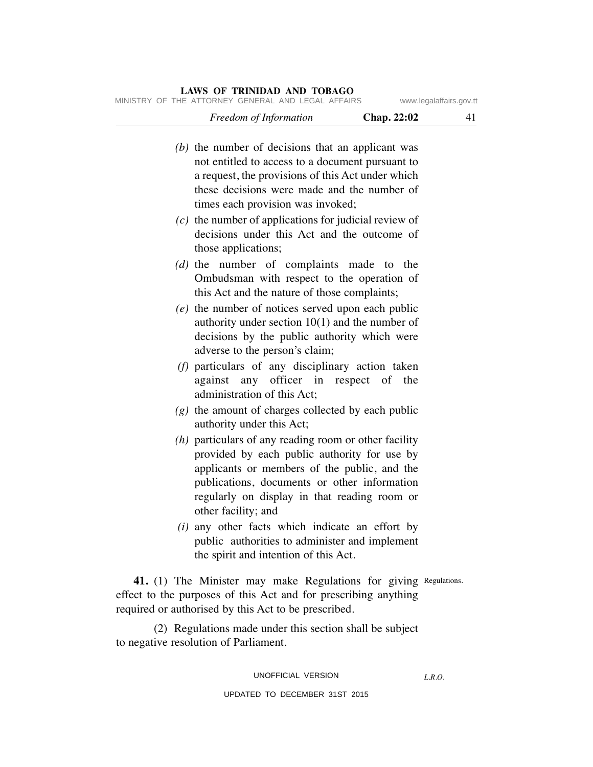*Freedom of Information* **Chap. 22:02** 41 MINISTRY OF THE ATTORNEY GENERAL AND LEGAL AFFAIRS www.legalaffairs.gov.tt

| r reeaom of Information                                                                                | Chap. $22:02$ | 41 |
|--------------------------------------------------------------------------------------------------------|---------------|----|
| $(b)$ the number of decisions that an applicant was                                                    |               |    |
| not entitled to access to a document pursuant to                                                       |               |    |
| a request, the provisions of this Act under which                                                      |               |    |
| these decisions were made and the number of                                                            |               |    |
| times each provision was invoked;                                                                      |               |    |
|                                                                                                        |               |    |
| $(c)$ the number of applications for judicial review of<br>decisions under this Act and the outcome of |               |    |
|                                                                                                        |               |    |
| those applications;                                                                                    |               |    |
| $(d)$ the number of complaints made to the                                                             |               |    |
| Ombudsman with respect to the operation of                                                             |               |    |
| this Act and the nature of those complaints;                                                           |               |    |
| $(e)$ the number of notices served upon each public                                                    |               |    |
| authority under section $10(1)$ and the number of                                                      |               |    |
| decisions by the public authority which were                                                           |               |    |
| adverse to the person's claim;                                                                         |               |    |
| $(f)$ particulars of any disciplinary action taken                                                     |               |    |
| against any officer in respect of                                                                      | the           |    |
| administration of this Act;                                                                            |               |    |
| $(g)$ the amount of charges collected by each public                                                   |               |    |
| authority under this Act;                                                                              |               |    |
| $(h)$ particulars of any reading room or other facility                                                |               |    |
| provided by each public authority for use by                                                           |               |    |
| applicants or members of the public, and the                                                           |               |    |
| publications, documents or other information                                                           |               |    |
| regularly on display in that reading room or                                                           |               |    |
| other facility; and                                                                                    |               |    |
| ( <i>i</i> ) any other facts which indicate an effort by                                               |               |    |
| public authorities to administer and implement                                                         |               |    |
| the spirit and intention of this Act.                                                                  |               |    |
| 41. (1) The Minister may make Regulations for giving Regulations.                                      |               |    |
| effect to the purposes of this Act and for prescribing anything                                        |               |    |
| required or authorised by this Act to be prescribed.                                                   |               |    |
|                                                                                                        |               |    |
| (2) Regulations made under this section shall be subject                                               |               |    |

to negative resolution of Parliament.

#### UNOFFICIAL VERSION

*L.R.O.*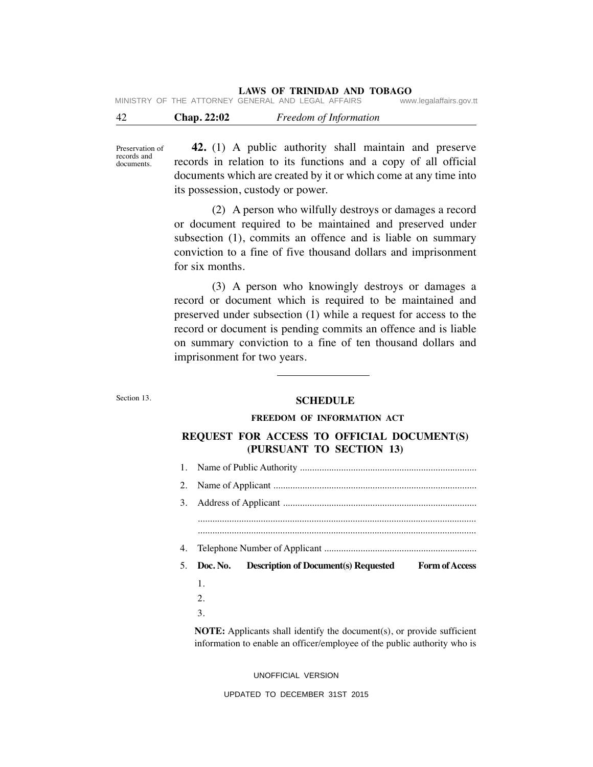| -42 | Chap. 22:02 | Freedom of Information                             |                         |
|-----|-------------|----------------------------------------------------|-------------------------|
|     |             | MINISTRY OF THE ATTORNEY GENERAL AND LEGAL AFFAIRS | www.legalaffairs.gov.tt |

Preservation of records and documents.

 **42.** (1) A public authority shall maintain and preserve records in relation to its functions and a copy of all official documents which are created by it or which come at any time into its possession, custody or power.

 (2) A person who wilfully destroys or damages a record or document required to be maintained and preserved under subsection (1), commits an offence and is liable on summary conviction to a fine of five thousand dollars and imprisonment for six months.

 (3) A person who knowingly destroys or damages a record or document which is required to be maintained and preserved under subsection (1) while a request for access to the record or document is pending commits an offence and is liable on summary conviction to a fine of ten thousand dollars and imprisonment for two years.

#### Section 13.

#### **SCHEDULE**

#### **FREEDOM OF INFORMATION ACT**

## **REQUEST FOR ACCESS TO OFFICIAL DOCUMENT(S) (PURSUANT TO SECTION 13)**

| 1. |                                                                                  |  |  |  |  |  |  |  |
|----|----------------------------------------------------------------------------------|--|--|--|--|--|--|--|
| 2. |                                                                                  |  |  |  |  |  |  |  |
| 3. |                                                                                  |  |  |  |  |  |  |  |
|    |                                                                                  |  |  |  |  |  |  |  |
|    |                                                                                  |  |  |  |  |  |  |  |
| 4. |                                                                                  |  |  |  |  |  |  |  |
|    |                                                                                  |  |  |  |  |  |  |  |
| 5. | <b>Description of Document(s) Requested</b><br><b>Form of Access</b><br>Doc. No. |  |  |  |  |  |  |  |
|    | 1.                                                                               |  |  |  |  |  |  |  |
|    | 2.                                                                               |  |  |  |  |  |  |  |
|    | 3.                                                                               |  |  |  |  |  |  |  |

UNOFFICIAL VERSION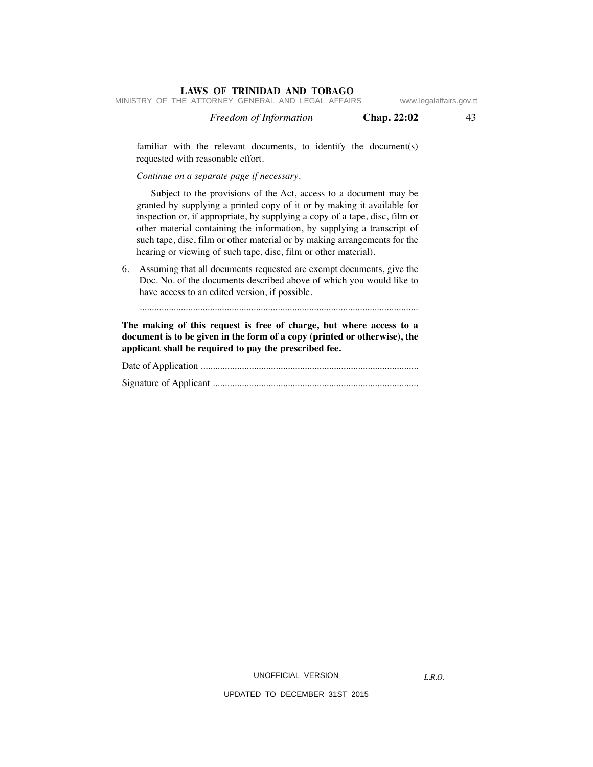|  |                                                    | <i>Freedom of Information</i> |  |  | <b>Chap. 22:02</b> |                         |  |
|--|----------------------------------------------------|-------------------------------|--|--|--------------------|-------------------------|--|
|  | MINISTRY OF THE ATTORNEY GENERAL AND LEGAL AFFAIRS |                               |  |  |                    | www.legalaffairs.gov.tt |  |

familiar with the relevant documents, to identify the document(s) requested with reasonable effort.

*Continue on a separate page if necessary*.

 Subject to the provisions of the Act, access to a document may be granted by supplying a printed copy of it or by making it available for inspection or, if appropriate, by supplying a copy of a tape, disc, film or other material containing the information, by supplying a transcript of such tape, disc, film or other material or by making arrangements for the hearing or viewing of such tape, disc, film or other material).

6. Assuming that all documents requested are exempt documents, give the Doc. No. of the documents described above of which you would like to have access to an edited version, if possible.

...................................................................................................................

**The making of this request is free of charge, but where access to a document is to be given in the form of a copy (printed or otherwise), the applicant shall be required to pay the prescribed fee.**

Date of Application .......................................................................................... Signature of Applicant .....................................................................................

UNOFFICIAL VERSION

*L.R.O.*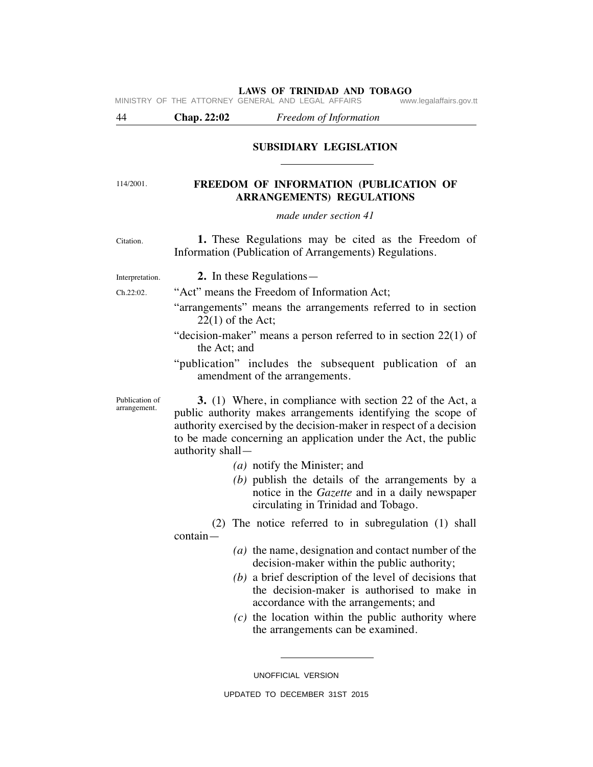|                                |                         | MINISTRY OF THE ATTORNEY GENERAL AND LEGAL AFFAIRS<br>www.legalaffairs.gov.tt                                                                                                                                                                                            |
|--------------------------------|-------------------------|--------------------------------------------------------------------------------------------------------------------------------------------------------------------------------------------------------------------------------------------------------------------------|
| 44                             | <b>Chap. 22:02</b>      | Freedom of Information                                                                                                                                                                                                                                                   |
|                                |                         | <b>SUBSIDIARY LEGISLATION</b>                                                                                                                                                                                                                                            |
| 114/2001.                      |                         | FREEDOM OF INFORMATION (PUBLICATION OF<br><b>ARRANGEMENTS) REGULATIONS</b>                                                                                                                                                                                               |
|                                |                         | made under section 41                                                                                                                                                                                                                                                    |
| Citation.                      |                         | 1. These Regulations may be cited as the Freedom of<br>Information (Publication of Arrangements) Regulations.                                                                                                                                                            |
| Interpretation.                |                         | 2. In these Regulations—                                                                                                                                                                                                                                                 |
| Ch.22:02.                      |                         | "Act" means the Freedom of Information Act;                                                                                                                                                                                                                              |
|                                | $22(1)$ of the Act;     | "arrangements" means the arrangements referred to in section                                                                                                                                                                                                             |
|                                | the Act; and            | "decision-maker" means a person referred to in section $22(1)$ of                                                                                                                                                                                                        |
|                                |                         | "publication" includes the subsequent publication of an<br>amendment of the arrangements.                                                                                                                                                                                |
| Publication of<br>arrangement. | authority shall-        | <b>3.</b> (1) Where, in compliance with section 22 of the Act, a<br>public authority makes arrangements identifying the scope of<br>authority exercised by the decision-maker in respect of a decision<br>to be made concerning an application under the Act, the public |
|                                |                         | $(a)$ notify the Minister; and                                                                                                                                                                                                                                           |
|                                |                         | $(b)$ publish the details of the arrangements by a<br>notice in the <i>Gazette</i> and in a daily newspaper<br>circulating in Trinidad and Tobago.                                                                                                                       |
|                                | (2)<br>$\text{contain}$ | The notice referred to in subregulation (1) shall                                                                                                                                                                                                                        |
|                                |                         | $(a)$ the name, designation and contact number of the<br>decision-maker within the public authority;                                                                                                                                                                     |
|                                |                         | $(b)$ a brief description of the level of decisions that<br>the decision-maker is authorised to make in<br>accordance with the arrangements; and                                                                                                                         |
|                                |                         | $(c)$ the location within the public authority where                                                                                                                                                                                                                     |

 *(c)* the location within the public authority where the arrangements can be examined.

UNOFFICIAL VERSION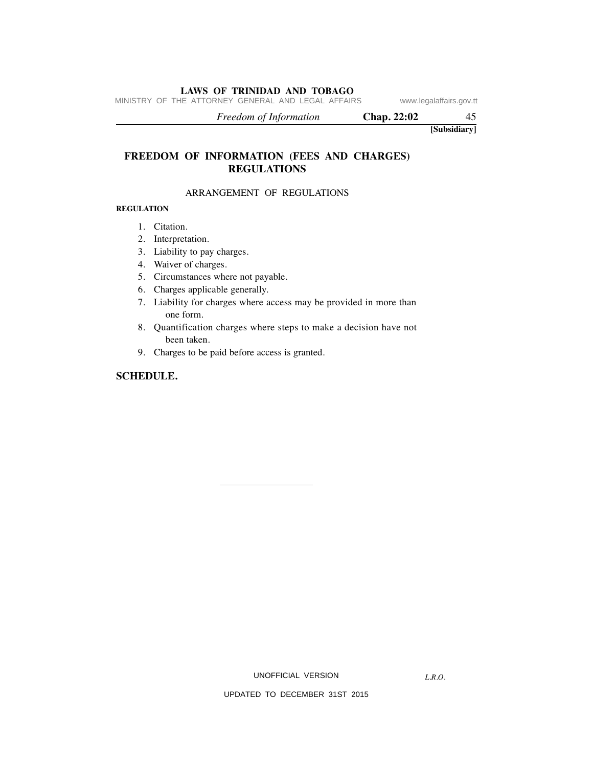MINISTRY OF THE ATTORNEY GENERAL AND LEGAL AFFAIRS www.legalaffairs.gov.tt

 *Freedom of Information* **Chap. 22:02** 45

**[Subsidiary]**

## **FREEDOM OF INFORMATION (FEES AND CHARGES) REGULATIONS**

#### ARRANGEMENT OF REGULATIONS

#### **REGULATION**

- 1. Citation.
- 2. Interpretation.
- 3. Liability to pay charges.
- 4. Waiver of charges.
- 5. Circumstances where not payable.
- 6. Charges applicable generally.
- 7. Liability for charges where access may be provided in more than one form.
- 8. Quantification charges where steps to make a decision have not been taken.
- 9. Charges to be paid before access is granted.

#### **SCHEDULE.**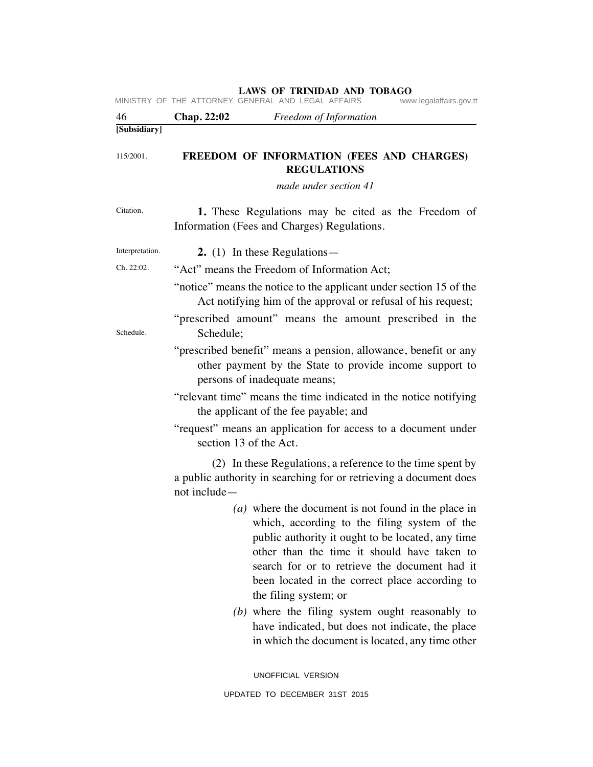| 46              | <b>Chap. 22:02</b>           | Freedom of Information                                                                                                                                                                                                                                                                                                              |
|-----------------|------------------------------|-------------------------------------------------------------------------------------------------------------------------------------------------------------------------------------------------------------------------------------------------------------------------------------------------------------------------------------|
| [Subsidiary]    |                              |                                                                                                                                                                                                                                                                                                                                     |
| 115/2001.       |                              | FREEDOM OF INFORMATION (FEES AND CHARGES)<br><b>REGULATIONS</b><br>made under section 41                                                                                                                                                                                                                                            |
|                 |                              |                                                                                                                                                                                                                                                                                                                                     |
| Citation.       |                              | 1. These Regulations may be cited as the Freedom of<br>Information (Fees and Charges) Regulations.                                                                                                                                                                                                                                  |
| Interpretation. |                              | 2. $(1)$ In these Regulations —                                                                                                                                                                                                                                                                                                     |
| Ch. 22:02.      |                              | "Act" means the Freedom of Information Act;                                                                                                                                                                                                                                                                                         |
|                 |                              | "notice" means the notice to the applicant under section 15 of the<br>Act notifying him of the approval or refusal of his request;                                                                                                                                                                                                  |
| Schedule.       | Schedule;                    | "prescribed amount" means the amount prescribed in the                                                                                                                                                                                                                                                                              |
|                 | persons of inadequate means; | "prescribed benefit" means a pension, allowance, benefit or any<br>other payment by the State to provide income support to                                                                                                                                                                                                          |
|                 |                              | "relevant time" means the time indicated in the notice notifying<br>the applicant of the fee payable; and                                                                                                                                                                                                                           |
|                 | section 13 of the Act.       | "request" means an application for access to a document under                                                                                                                                                                                                                                                                       |
|                 | not include-                 | (2) In these Regulations, a reference to the time spent by<br>a public authority in searching for or retrieving a document does                                                                                                                                                                                                     |
|                 |                              | (a) where the document is not found in the place in<br>which, according to the filing system of the<br>public authority it ought to be located, any time<br>other than the time it should have taken to<br>search for or to retrieve the document had it<br>been located in the correct place according to<br>the filing system; or |
|                 |                              | $(b)$ where the filing system ought reasonably to<br>have indicated, but does not indicate, the place<br>in which the document is located, any time other                                                                                                                                                                           |
|                 |                              | UNOFFICIAL VERSION                                                                                                                                                                                                                                                                                                                  |
|                 |                              |                                                                                                                                                                                                                                                                                                                                     |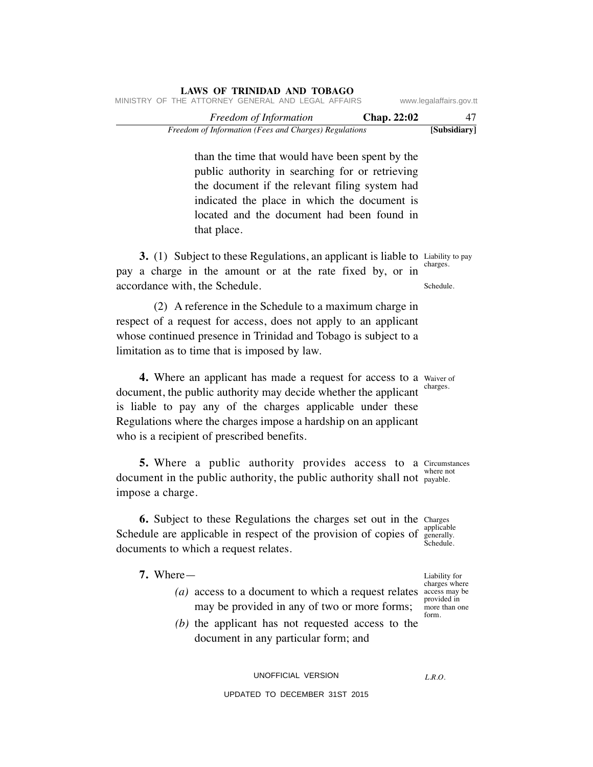| Freedom of Information (Fees and Charges) Regulations |  |                                                    |                        |  |  |  |  | [Subsidiary]       |                         |
|-------------------------------------------------------|--|----------------------------------------------------|------------------------|--|--|--|--|--------------------|-------------------------|
|                                                       |  |                                                    | Freedom of Information |  |  |  |  | <b>Chap. 22:02</b> | 47                      |
|                                                       |  | MINISTRY OF THE ATTORNEY GENERAL AND LEGAL AFFAIRS |                        |  |  |  |  |                    | www.legalaffairs.gov.tt |

than the time that would have been spent by the public authority in searching for or retrieving the document if the relevant filing system had indicated the place in which the document is located and the document had been found in that place.

**3.** (1) Subject to these Regulations, an applicant is liable to Liability to pay charges. pay a charge in the amount or at the rate fixed by, or in accordance with, the Schedule.

 (2) A reference in the Schedule to a maximum charge in respect of a request for access, does not apply to an applicant whose continued presence in Trinidad and Tobago is subject to a limitation as to time that is imposed by law.

**4.** Where an applicant has made a request for access to a waiver of document, the public authority may decide whether the applicant is liable to pay any of the charges applicable under these Regulations where the charges impose a hardship on an applicant who is a recipient of prescribed benefits.

**5.** Where a public authority provides access to a Circumstances where not document in the public authority, the public authority shall not payable. impose a charge.

**6.** Subject to these Regulations the charges set out in the Charges Schedule are applicable in respect of the provision of copies of *senerally*. documents to which a request relates.

**7.** Where—

- (*a*) access to a document to which a request relates  $\alpha$  access may be may be provided in any of two or more forms;
	- *(b)* the applicant has not requested access to the document in any particular form; and

UNOFFICIAL VERSION

#### UPDATED TO DECEMBER 31ST 2015

Liability for charges where provided in more than one form.

charges.

applicable generally.

*L.R.O.* 

Schedule.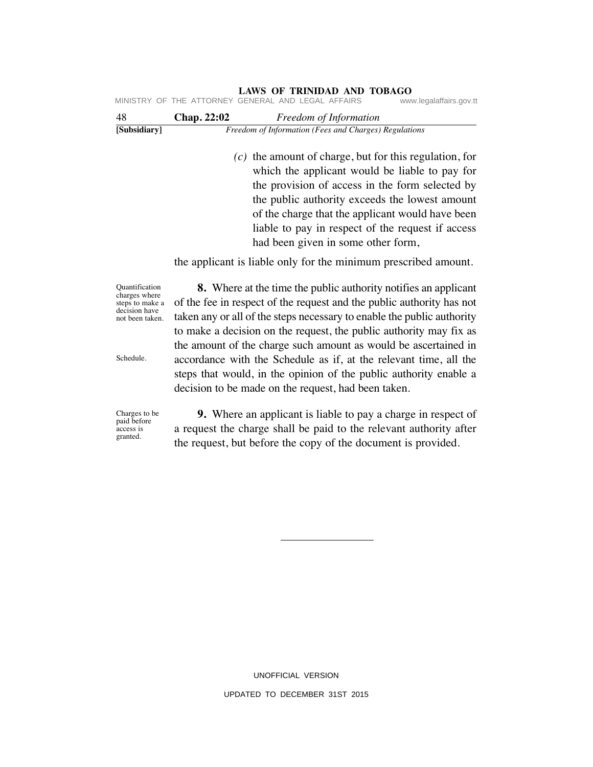|                    |                               | www.legalaffairs.gov.tt                                                                                                                                                                                                                                                                                                                                                                                                                                           |
|--------------------|-------------------------------|-------------------------------------------------------------------------------------------------------------------------------------------------------------------------------------------------------------------------------------------------------------------------------------------------------------------------------------------------------------------------------------------------------------------------------------------------------------------|
| <b>Chap. 22:02</b> | <i>Freedom of Information</i> |                                                                                                                                                                                                                                                                                                                                                                                                                                                                   |
|                    |                               |                                                                                                                                                                                                                                                                                                                                                                                                                                                                   |
|                    |                               |                                                                                                                                                                                                                                                                                                                                                                                                                                                                   |
|                    |                               |                                                                                                                                                                                                                                                                                                                                                                                                                                                                   |
|                    |                               | THE ATTORNEY GENERAL AND LEGAL AFFAIRS<br>Freedom of Information (Fees and Charges) Regulations<br>$(c)$ the amount of charge, but for this regulation, for<br>which the applicant would be liable to pay for<br>the provision of access in the form selected by<br>the public authority exceeds the lowest amount<br>of the charge that the applicant would have been<br>liable to pay in respect of the request if access<br>had been given in some other form, |

the applicant is liable only for the minimum prescribed amount.

 **8.** Where at the time the public authority notifies an applicant of the fee in respect of the request and the public authority has not taken any or all of the steps necessary to enable the public authority to make a decision on the request, the public authority may fix as the amount of the charge such amount as would be ascertained in accordance with the Schedule as if, at the relevant time, all the steps that would, in the opinion of the public authority enable a

**LAWS OF TRINIDAD AND TOBAGO**

Quantification charges where steps to make a decision have not been taken.

Schedule.

Charges to be paid before access is granted.

 **9.** Where an applicant is liable to pay a charge in respect of a request the charge shall be paid to the relevant authority after the request, but before the copy of the document is provided.

decision to be made on the request, had been taken.

UPDATED TO DECEMBER 31ST 2015

UNOFFICIAL VERSION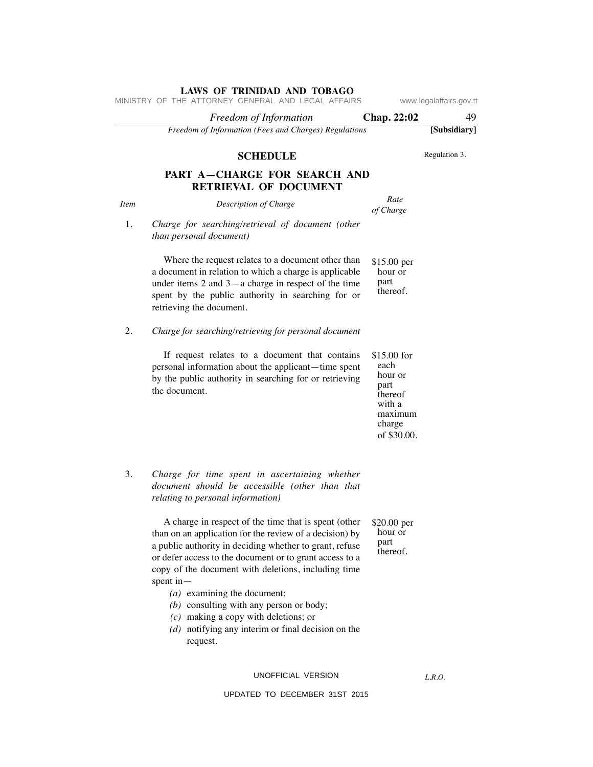|             | MINISTRY OF THE ATTORNEY GENERAL AND LEGAL AFFAIRS                                                                                                                                                                                                                                                                                                                                                                                                                                                       |                                                                                                 | www.legalaffairs.gov.tt |
|-------------|----------------------------------------------------------------------------------------------------------------------------------------------------------------------------------------------------------------------------------------------------------------------------------------------------------------------------------------------------------------------------------------------------------------------------------------------------------------------------------------------------------|-------------------------------------------------------------------------------------------------|-------------------------|
|             | Freedom of Information                                                                                                                                                                                                                                                                                                                                                                                                                                                                                   | Chap. 22:02                                                                                     | 49                      |
|             | Freedom of Information (Fees and Charges) Regulations                                                                                                                                                                                                                                                                                                                                                                                                                                                    |                                                                                                 | [Subsidiary]            |
|             | <b>SCHEDULE</b>                                                                                                                                                                                                                                                                                                                                                                                                                                                                                          |                                                                                                 | Regulation 3.           |
|             | PART A-CHARGE FOR SEARCH AND<br><b>RETRIEVAL OF DOCUMENT</b>                                                                                                                                                                                                                                                                                                                                                                                                                                             |                                                                                                 |                         |
| <b>Item</b> | Description of Charge                                                                                                                                                                                                                                                                                                                                                                                                                                                                                    | Rate<br>of Charge                                                                               |                         |
| 1.          | Charge for searching/retrieval of document (other<br>than personal document)                                                                                                                                                                                                                                                                                                                                                                                                                             |                                                                                                 |                         |
|             | Where the request relates to a document other than<br>a document in relation to which a charge is applicable<br>under items $2$ and $3$ —a charge in respect of the time<br>spent by the public authority in searching for or<br>retrieving the document.                                                                                                                                                                                                                                                | $$15.00$ per<br>hour or<br>part<br>thereof.                                                     |                         |
| 2.          | Charge for searching/retrieving for personal document                                                                                                                                                                                                                                                                                                                                                                                                                                                    |                                                                                                 |                         |
|             | If request relates to a document that contains<br>personal information about the applicant—time spent<br>by the public authority in searching for or retrieving<br>the document.                                                                                                                                                                                                                                                                                                                         | \$15.00 for<br>each<br>hour or<br>part<br>thereof<br>with a<br>maximum<br>charge<br>of \$30.00. |                         |
| 3.          | Charge for time spent in ascertaining whether<br>document should be accessible (other than that<br>relating to personal information)                                                                                                                                                                                                                                                                                                                                                                     |                                                                                                 |                         |
|             | A charge in respect of the time that is spent (other<br>than on an application for the review of a decision) by<br>a public authority in deciding whether to grant, refuse<br>or defer access to the document or to grant access to a<br>copy of the document with deletions, including time<br>spent in $-$<br>$(a)$ examining the document;<br>$(b)$ consulting with any person or body;<br>$(c)$ making a copy with deletions; or<br>$(d)$ notifying any interim or final decision on the<br>request. | \$20.00 per<br>hour or<br>part<br>thereof.                                                      |                         |
|             | UNOFFICIAL VERSION                                                                                                                                                                                                                                                                                                                                                                                                                                                                                       |                                                                                                 | L.R.O.                  |

*L.R.O.*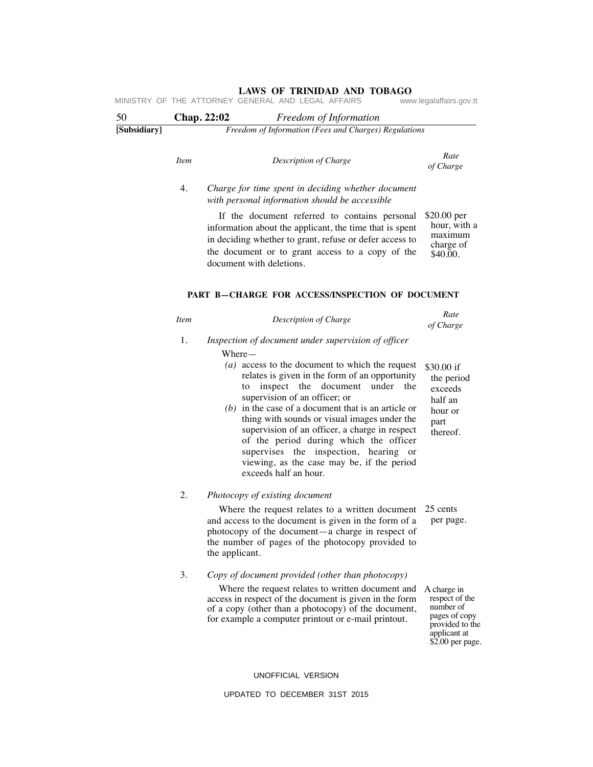| 50           | Chap. 22:02 |                | Freedom of Information                                                                                                                                                                                                                                                                                                                                                                                                                                                                                             |                                                                                                                    |
|--------------|-------------|----------------|--------------------------------------------------------------------------------------------------------------------------------------------------------------------------------------------------------------------------------------------------------------------------------------------------------------------------------------------------------------------------------------------------------------------------------------------------------------------------------------------------------------------|--------------------------------------------------------------------------------------------------------------------|
| [Subsidiary] |             |                | Freedom of Information (Fees and Charges) Regulations                                                                                                                                                                                                                                                                                                                                                                                                                                                              |                                                                                                                    |
|              | <b>Item</b> |                | Description of Charge                                                                                                                                                                                                                                                                                                                                                                                                                                                                                              | Rate<br>of Charge                                                                                                  |
|              | 4.          |                | Charge for time spent in deciding whether document<br>with personal information should be accessible                                                                                                                                                                                                                                                                                                                                                                                                               |                                                                                                                    |
|              |             |                | If the document referred to contains personal<br>information about the applicant, the time that is spent<br>in deciding whether to grant, refuse or defer access to<br>the document or to grant access to a copy of the<br>document with deletions.                                                                                                                                                                                                                                                                | \$20.00 per<br>hour, with a<br>maximum<br>charge of<br>\$40.00.                                                    |
|              |             |                | PART B-CHARGE FOR ACCESS/INSPECTION OF DOCUMENT                                                                                                                                                                                                                                                                                                                                                                                                                                                                    |                                                                                                                    |
|              | <b>Item</b> |                | Description of Charge                                                                                                                                                                                                                                                                                                                                                                                                                                                                                              | Rate<br>of Charge                                                                                                  |
|              | 1.          |                | Inspection of document under supervision of officer                                                                                                                                                                                                                                                                                                                                                                                                                                                                |                                                                                                                    |
|              |             |                | Where —<br>$(a)$ access to the document to which the request<br>relates is given in the form of an opportunity<br>inspect the document<br>under<br>the<br>to<br>supervision of an officer; or<br>$(b)$ in the case of a document that is an article or<br>thing with sounds or visual images under the<br>supervision of an officer, a charge in respect<br>of the period during which the officer<br>supervises the inspection, hearing or<br>viewing, as the case may be, if the period<br>exceeds half an hour. | \$30.00 if<br>the period<br>exceeds<br>half an<br>hour or<br>part<br>thereof.                                      |
|              | 2.          |                | Photocopy of existing document                                                                                                                                                                                                                                                                                                                                                                                                                                                                                     |                                                                                                                    |
|              |             | the applicant. | Where the request relates to a written document $25$ cents<br>and access to the document is given in the form of a<br>photocopy of the document—a charge in respect of<br>the number of pages of the photocopy provided to                                                                                                                                                                                                                                                                                         | per page.                                                                                                          |
|              | 3.          |                | Copy of document provided (other than photocopy)<br>Where the request relates to written document and<br>access in respect of the document is given in the form<br>of a copy (other than a photocopy) of the document,<br>for example a computer printout or e-mail printout.                                                                                                                                                                                                                                      | A charge in<br>respect of the<br>number of<br>pages of copy<br>provided to the<br>applicant at<br>\$2.00 per page. |

#### UNOFFICIAL VERSION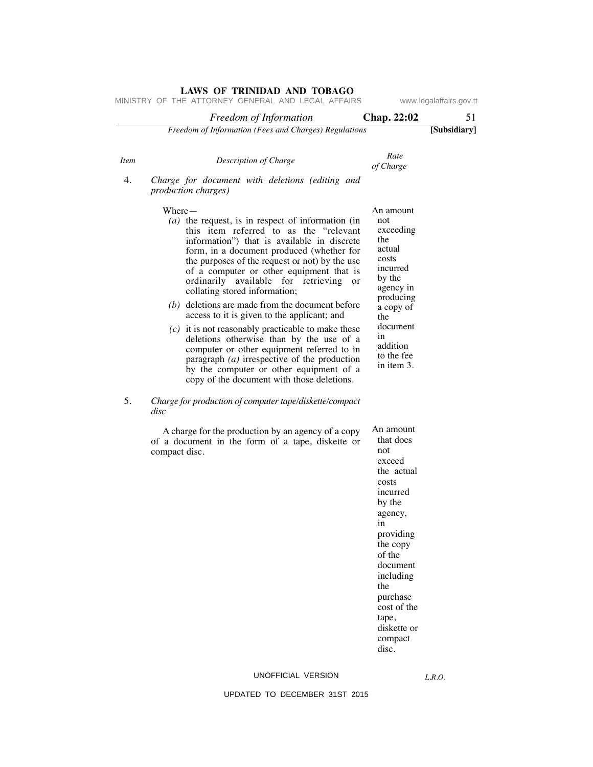|             | MINISTRY OF THE ATTORNEY GENERAL AND LEGAL AFFAIRS                                                                                                                                                                                                                                                                                                                                                                                       |                                                                                                                                                                                                                                                 | www.legalaffairs.gov.tt |
|-------------|------------------------------------------------------------------------------------------------------------------------------------------------------------------------------------------------------------------------------------------------------------------------------------------------------------------------------------------------------------------------------------------------------------------------------------------|-------------------------------------------------------------------------------------------------------------------------------------------------------------------------------------------------------------------------------------------------|-------------------------|
|             | Freedom of Information                                                                                                                                                                                                                                                                                                                                                                                                                   | <b>Chap. 22:02</b>                                                                                                                                                                                                                              | 51                      |
|             | Freedom of Information (Fees and Charges) Regulations                                                                                                                                                                                                                                                                                                                                                                                    |                                                                                                                                                                                                                                                 | [Subsidiary]            |
| <i>Item</i> | Description of Charge                                                                                                                                                                                                                                                                                                                                                                                                                    | Rate<br>of Charge                                                                                                                                                                                                                               |                         |
| 4.          | Charge for document with deletions (editing and<br><i>production charges)</i>                                                                                                                                                                                                                                                                                                                                                            |                                                                                                                                                                                                                                                 |                         |
|             | $Where-$<br>$(a)$ the request, is in respect of information (in<br>this item referred to as the "relevant<br>information") that is available in discrete<br>form, in a document produced (whether for<br>the purposes of the request or not) by the use<br>of a computer or other equipment that is<br>ordinarily available for retrieving<br>- or<br>collating stored information;<br>$(b)$ deletions are made from the document before | An amount<br>not<br>exceeding<br>the<br>actual<br>costs<br>incurred<br>by the<br>agency in<br>producing                                                                                                                                         |                         |
|             | access to it is given to the applicant; and<br>$(c)$ it is not reasonably practicable to make these<br>deletions otherwise than by the use of a<br>computer or other equipment referred to in<br>paragraph $(a)$ irrespective of the production<br>by the computer or other equipment of a<br>copy of the document with those deletions.                                                                                                 | a copy of<br>the<br>document<br>in<br>addition<br>to the fee<br>in item 3.                                                                                                                                                                      |                         |
| 5.          | Charge for production of computer tape/diskette/compact<br>disc                                                                                                                                                                                                                                                                                                                                                                          |                                                                                                                                                                                                                                                 |                         |
|             | A charge for the production by an agency of a copy<br>of a document in the form of a tape, diskette or<br>compact disc.                                                                                                                                                                                                                                                                                                                  | An amount<br>that does<br>not<br>exceed<br>the actual<br>costs<br>incurred<br>by the<br>agency,<br>1n<br>providing<br>the copy<br>of the<br>document<br>including<br>the<br>purchase<br>cost of the<br>tape,<br>diskette or<br>compact<br>disc. |                         |

#### UNOFFICIAL VERSION

*L.R.O.*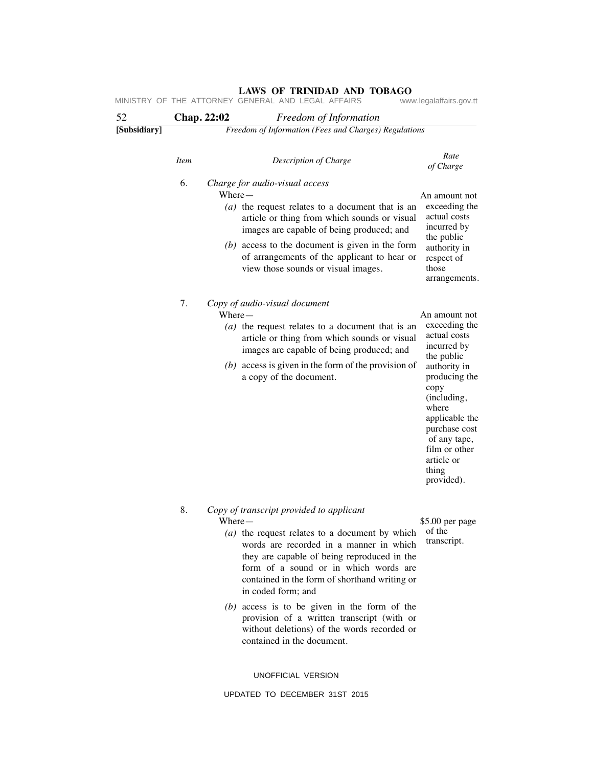| 52           | Chap. 22:02 |          | Freedom of Information                                                                                                                                                                                                                                                                                                                                                                                                |                                                                                                                                                                                                                                                       |
|--------------|-------------|----------|-----------------------------------------------------------------------------------------------------------------------------------------------------------------------------------------------------------------------------------------------------------------------------------------------------------------------------------------------------------------------------------------------------------------------|-------------------------------------------------------------------------------------------------------------------------------------------------------------------------------------------------------------------------------------------------------|
| [Subsidiary] |             |          | Freedom of Information (Fees and Charges) Regulations                                                                                                                                                                                                                                                                                                                                                                 |                                                                                                                                                                                                                                                       |
|              | <b>Item</b> |          | Description of Charge                                                                                                                                                                                                                                                                                                                                                                                                 | Rate<br>of Charge                                                                                                                                                                                                                                     |
|              | 6.          | $Where-$ | Charge for audio-visual access<br>(a) the request relates to a document that is an<br>article or thing from which sounds or visual<br>images are capable of being produced; and<br>$(b)$ access to the document is given in the form<br>of arrangements of the applicant to hear or<br>view those sounds or visual images.                                                                                            | An amount not<br>exceeding the<br>actual costs<br>incurred by<br>the public<br>authority in<br>respect of<br>those<br>arrangements.                                                                                                                   |
|              | 7.          |          | Copy of audio-visual document<br>$Where-$<br>(a) the request relates to a document that is an<br>article or thing from which sounds or visual<br>images are capable of being produced; and<br>$(b)$ access is given in the form of the provision of<br>a copy of the document.                                                                                                                                        | An amount not<br>exceeding the<br>actual costs<br>incurred by<br>the public<br>authority in<br>producing the<br>copy<br>(including,<br>where<br>applicable the<br>purchase cost<br>of any tape,<br>film or other<br>article or<br>thing<br>provided). |
|              | 8.          |          | Copy of transcript provided to applicant<br>Where-<br>(a) the request relates to a document by which of the<br>words are recorded in a manner in which<br>they are capable of being reproduced in the<br>form of a sound or in which words are<br>contained in the form of shorthand writing or<br>in coded form; and<br>$(b)$ access is to be given in the form of the<br>provision of a written transcript (with or | \$5.00 per page<br>transcript.                                                                                                                                                                                                                        |

UNOFFICIAL VERSION

contained in the document.

without deletions) of the words recorded or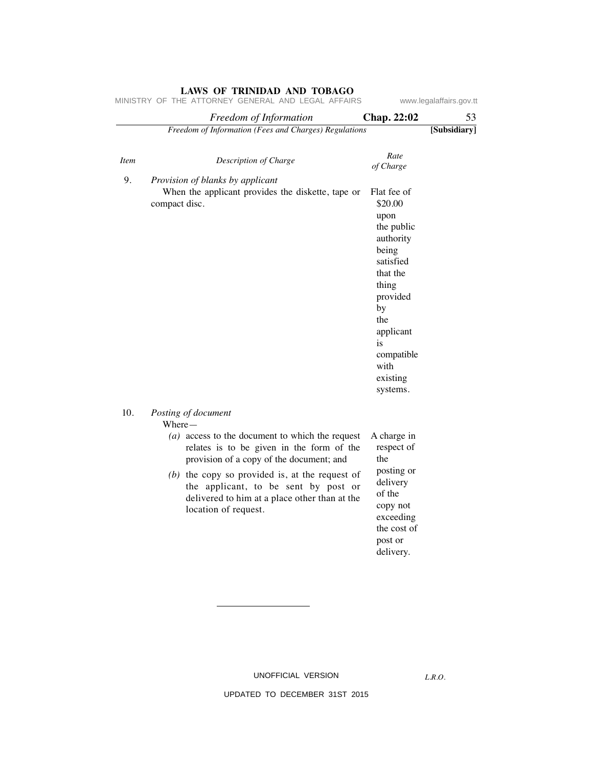|             | Freedom of Information                                                                | Chap. 22:02            | 53           |
|-------------|---------------------------------------------------------------------------------------|------------------------|--------------|
|             | Freedom of Information (Fees and Charges) Regulations                                 |                        | [Subsidiary] |
|             |                                                                                       |                        |              |
| <b>Item</b> | Description of Charge                                                                 | Rate<br>of Charge      |              |
| 9.          | Provision of blanks by applicant<br>When the applicant provides the diskette, tape or | Flat fee of            |              |
|             | compact disc.                                                                         | \$20.00                |              |
|             |                                                                                       | upon<br>the public     |              |
|             |                                                                                       | authority              |              |
|             |                                                                                       | being                  |              |
|             |                                                                                       | satisfied<br>that the  |              |
|             |                                                                                       | thing                  |              |
|             |                                                                                       | provided<br>by         |              |
|             |                                                                                       | the                    |              |
|             |                                                                                       | applicant              |              |
|             |                                                                                       | is<br>compatible       |              |
|             |                                                                                       | with                   |              |
|             |                                                                                       | existing<br>systems.   |              |
| 10.         | Posting of document                                                                   |                        |              |
|             | $Where-$<br>$(a)$ access to the document to which the request                         | A charge in            |              |
|             | relates is to be given in the form of the<br>provision of a copy of the document; and | respect of<br>the      |              |
|             | $(b)$ the copy so provided is, at the request of                                      | posting or<br>delivery |              |
|             | the applicant, to be sent by post or<br>delivered to him at a place other than at the | of the                 |              |
|             | location of request.                                                                  | copy not<br>exceeding  |              |
|             |                                                                                       | the cost of            |              |
|             |                                                                                       | post or<br>delivery.   |              |
|             |                                                                                       |                        |              |
|             |                                                                                       |                        |              |

UNOFFICIAL VERSION

*L.R.O.*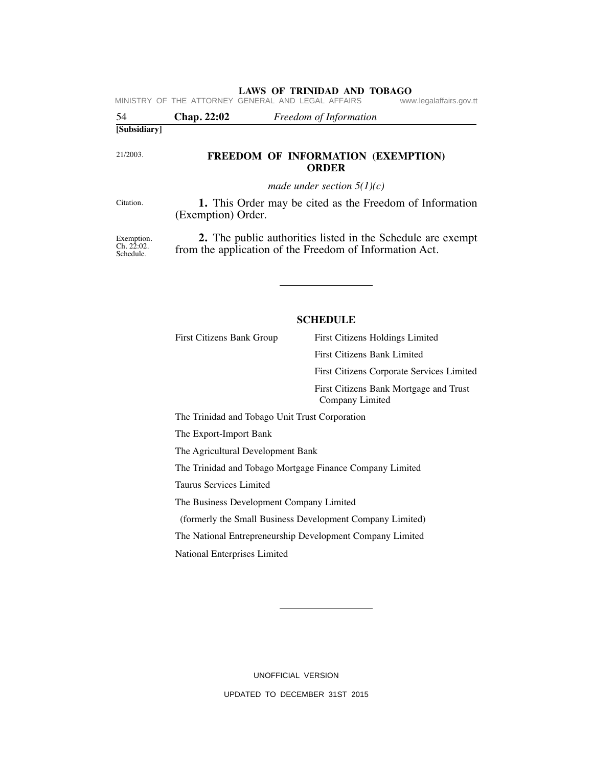|                                       | MINISTRY OF THE ATTORNEY GENERAL AND LEGAL AFFAIRS<br>www.legalaffairs.gov.tt                                                 |  |
|---------------------------------------|-------------------------------------------------------------------------------------------------------------------------------|--|
| 54                                    | Chap. 22:02<br>Freedom of Information                                                                                         |  |
| [Subsidiary]                          |                                                                                                                               |  |
| 21/2003.                              | FREEDOM OF INFORMATION (EXEMPTION)<br><b>ORDER</b>                                                                            |  |
|                                       | made under section $5(1)(c)$                                                                                                  |  |
| Citation.                             | 1. This Order may be cited as the Freedom of Information<br>(Exemption) Order.                                                |  |
| Exemption.<br>Ch. 22:02.<br>Schedule. | <b>2.</b> The public authorities listed in the Schedule are exempt<br>from the application of the Freedom of Information Act. |  |

#### **SCHEDULE**

First Citizens Bank Group First Citizens Holdings Limited First Citizens Bank Limited First Citizens Corporate Services Limited First Citizens Bank Mortgage and Trust Company Limited

The Trinidad and Tobago Unit Trust Corporation

The Export-Import Bank

The Agricultural Development Bank

The Trinidad and Tobago Mortgage Finance Company Limited

Taurus Services Limited

The Business Development Company Limited

(formerly the Small Business Development Company Limited)

The National Entrepreneurship Development Company Limited

National Enterprises Limited

UNOFFICIAL VERSION UPDATED TO DECEMBER 31ST 2015

Schedule.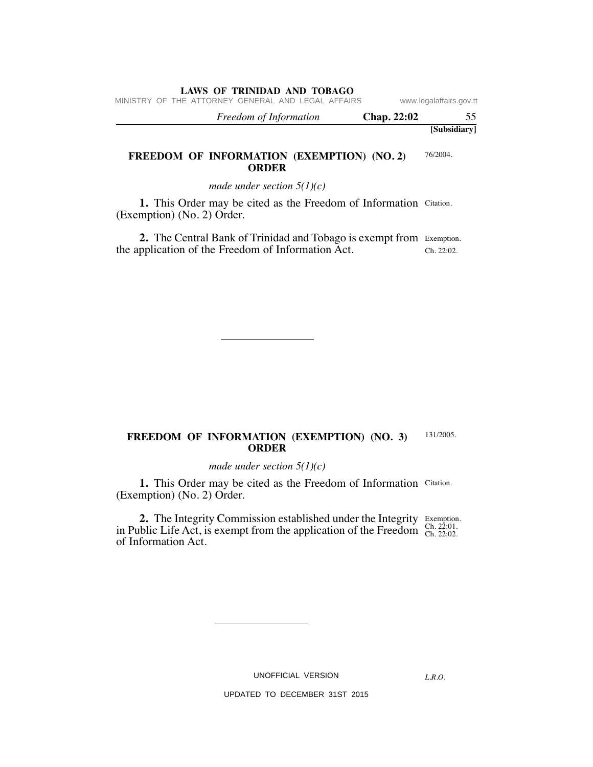MINISTRY OF THE ATTORNEY GENERAL AND LEGAL AFFAIRS www.legalaffairs.gov.tt

| Freedom of Information | Chap. 22:02 |              |
|------------------------|-------------|--------------|
|                        |             | [Subsidiary] |

#### 76/2004. **FREEDOM OF INFORMATION (EXEMPTION) (NO. 2) ORDER**

*made under section 5(1)(c)*

1. This Order may be cited as the Freedom of Information Citation. (Exemption) (No. 2) Order.

2. The Central Bank of Trinidad and Tobago is exempt from Exemption. Ch. 22:02. the application of the Freedom of Information Act.

#### 131/2005. **FREEDOM OF INFORMATION (EXEMPTION) (NO. 3) ORDER**

*made under section 5(1)(c)*

1. This Order may be cited as the Freedom of Information Citation. (Exemption) (No. 2) Order.

Exemption. Ch. 22:01. Ch. 22:02. **2.** The Integrity Commission established under the Integrity in Public Life Act, is exempt from the application of the Freedom of Information Act.

UNOFFICIAL VERSION

*L.R.O.*